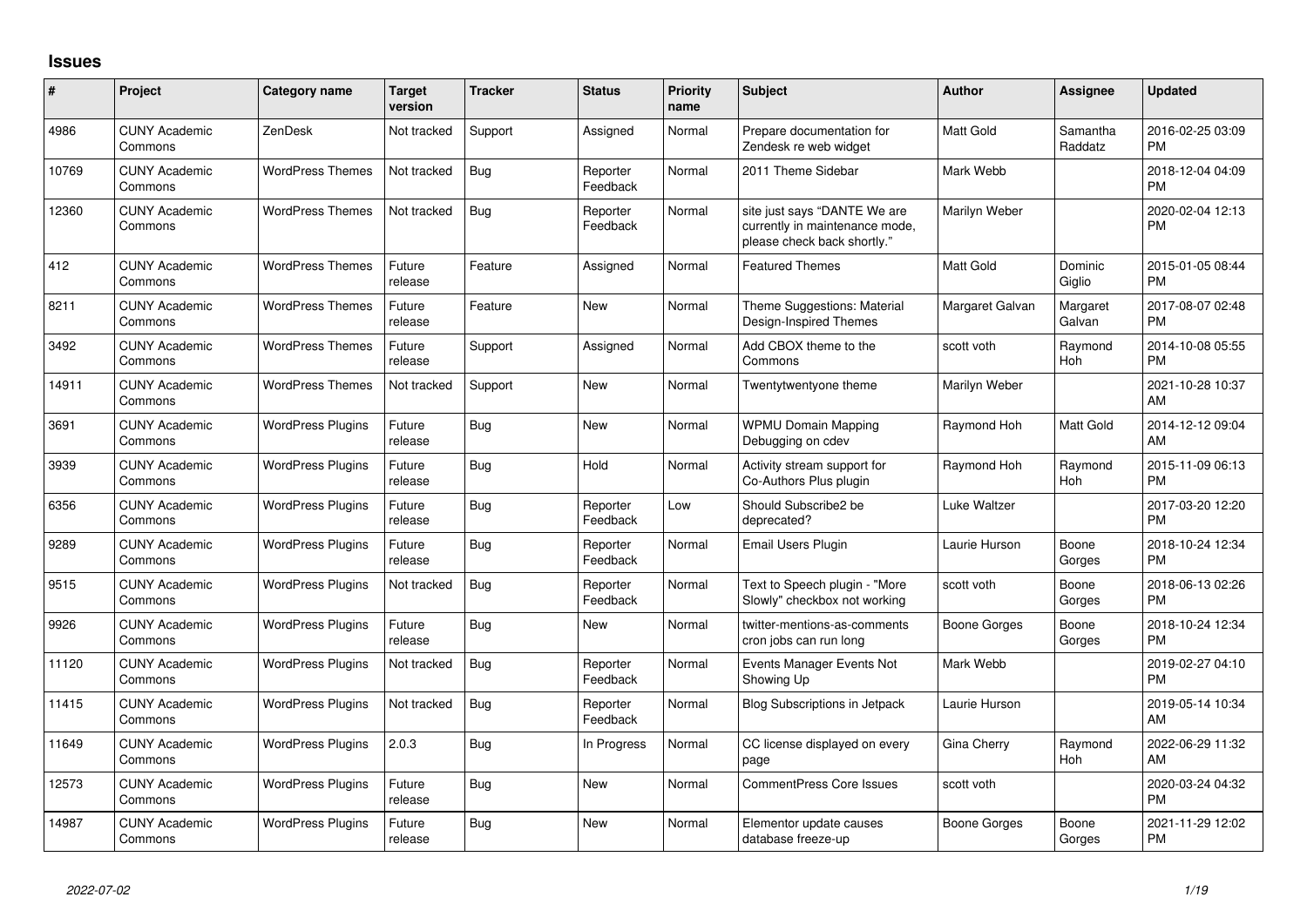## **Issues**

| #     | Project                         | <b>Category name</b>     | <b>Target</b><br>version | <b>Tracker</b> | <b>Status</b>        | Priority<br>name | <b>Subject</b>                                                                                | <b>Author</b>    | <b>Assignee</b>     | <b>Updated</b>                |
|-------|---------------------------------|--------------------------|--------------------------|----------------|----------------------|------------------|-----------------------------------------------------------------------------------------------|------------------|---------------------|-------------------------------|
| 4986  | <b>CUNY Academic</b><br>Commons | ZenDesk                  | Not tracked              | Support        | Assigned             | Normal           | Prepare documentation for<br>Zendesk re web widget                                            | Matt Gold        | Samantha<br>Raddatz | 2016-02-25 03:09<br><b>PM</b> |
| 10769 | <b>CUNY Academic</b><br>Commons | <b>WordPress Themes</b>  | Not tracked              | Bug            | Reporter<br>Feedback | Normal           | 2011 Theme Sidebar                                                                            | Mark Webb        |                     | 2018-12-04 04:09<br><b>PM</b> |
| 12360 | <b>CUNY Academic</b><br>Commons | <b>WordPress Themes</b>  | Not tracked              | <b>Bug</b>     | Reporter<br>Feedback | Normal           | site just says "DANTE We are<br>currently in maintenance mode,<br>please check back shortly." | Marilyn Weber    |                     | 2020-02-04 12:13<br><b>PM</b> |
| 412   | <b>CUNY Academic</b><br>Commons | <b>WordPress Themes</b>  | Future<br>release        | Feature        | Assigned             | Normal           | <b>Featured Themes</b>                                                                        | <b>Matt Gold</b> | Dominic<br>Giglio   | 2015-01-05 08:44<br><b>PM</b> |
| 8211  | <b>CUNY Academic</b><br>Commons | <b>WordPress Themes</b>  | Future<br>release        | Feature        | New                  | Normal           | Theme Suggestions: Material<br>Design-Inspired Themes                                         | Margaret Galvan  | Margaret<br>Galvan  | 2017-08-07 02:48<br><b>PM</b> |
| 3492  | <b>CUNY Academic</b><br>Commons | <b>WordPress Themes</b>  | Future<br>release        | Support        | Assigned             | Normal           | Add CBOX theme to the<br>Commons                                                              | scott voth       | Raymond<br>Hoh      | 2014-10-08 05:55<br><b>PM</b> |
| 14911 | <b>CUNY Academic</b><br>Commons | <b>WordPress Themes</b>  | Not tracked              | Support        | New                  | Normal           | Twentytwentyone theme                                                                         | Marilyn Weber    |                     | 2021-10-28 10:37<br>AM        |
| 3691  | <b>CUNY Academic</b><br>Commons | <b>WordPress Plugins</b> | Future<br>release        | Bug            | New                  | Normal           | <b>WPMU Domain Mapping</b><br>Debugging on cdev                                               | Raymond Hoh      | Matt Gold           | 2014-12-12 09:04<br>AM        |
| 3939  | <b>CUNY Academic</b><br>Commons | <b>WordPress Plugins</b> | Future<br>release        | Bug            | Hold                 | Normal           | Activity stream support for<br>Co-Authors Plus plugin                                         | Raymond Hoh      | Raymond<br>Hoh      | 2015-11-09 06:13<br><b>PM</b> |
| 6356  | <b>CUNY Academic</b><br>Commons | <b>WordPress Plugins</b> | Future<br>release        | Bug            | Reporter<br>Feedback | Low              | Should Subscribe2 be<br>deprecated?                                                           | Luke Waltzer     |                     | 2017-03-20 12:20<br><b>PM</b> |
| 9289  | <b>CUNY Academic</b><br>Commons | <b>WordPress Plugins</b> | Future<br>release        | Bug            | Reporter<br>Feedback | Normal           | Email Users Plugin                                                                            | Laurie Hurson    | Boone<br>Gorges     | 2018-10-24 12:34<br><b>PM</b> |
| 9515  | <b>CUNY Academic</b><br>Commons | <b>WordPress Plugins</b> | Not tracked              | Bug            | Reporter<br>Feedback | Normal           | Text to Speech plugin - "More<br>Slowly" checkbox not working                                 | scott voth       | Boone<br>Gorges     | 2018-06-13 02:26<br><b>PM</b> |
| 9926  | <b>CUNY Academic</b><br>Commons | <b>WordPress Plugins</b> | Future<br>release        | Bug            | New                  | Normal           | twitter-mentions-as-comments<br>cron jobs can run long                                        | Boone Gorges     | Boone<br>Gorges     | 2018-10-24 12:34<br><b>PM</b> |
| 11120 | <b>CUNY Academic</b><br>Commons | <b>WordPress Plugins</b> | Not tracked              | Bug            | Reporter<br>Feedback | Normal           | Events Manager Events Not<br>Showing Up                                                       | Mark Webb        |                     | 2019-02-27 04:10<br><b>PM</b> |
| 11415 | <b>CUNY Academic</b><br>Commons | <b>WordPress Plugins</b> | Not tracked              | Bug            | Reporter<br>Feedback | Normal           | <b>Blog Subscriptions in Jetpack</b>                                                          | Laurie Hurson    |                     | 2019-05-14 10:34<br>AM        |
| 11649 | <b>CUNY Academic</b><br>Commons | <b>WordPress Plugins</b> | 2.0.3                    | Bug            | In Progress          | Normal           | CC license displayed on every<br>page                                                         | Gina Cherry      | Raymond<br>Hoh      | 2022-06-29 11:32<br>AM        |
| 12573 | <b>CUNY Academic</b><br>Commons | <b>WordPress Plugins</b> | Future<br>release        | Bug            | <b>New</b>           | Normal           | <b>CommentPress Core Issues</b>                                                               | scott voth       |                     | 2020-03-24 04:32<br><b>PM</b> |
| 14987 | <b>CUNY Academic</b><br>Commons | <b>WordPress Plugins</b> | Future<br>release        | Bug            | <b>New</b>           | Normal           | Elementor update causes<br>database freeze-up                                                 | Boone Gorges     | Boone<br>Gorges     | 2021-11-29 12:02<br><b>PM</b> |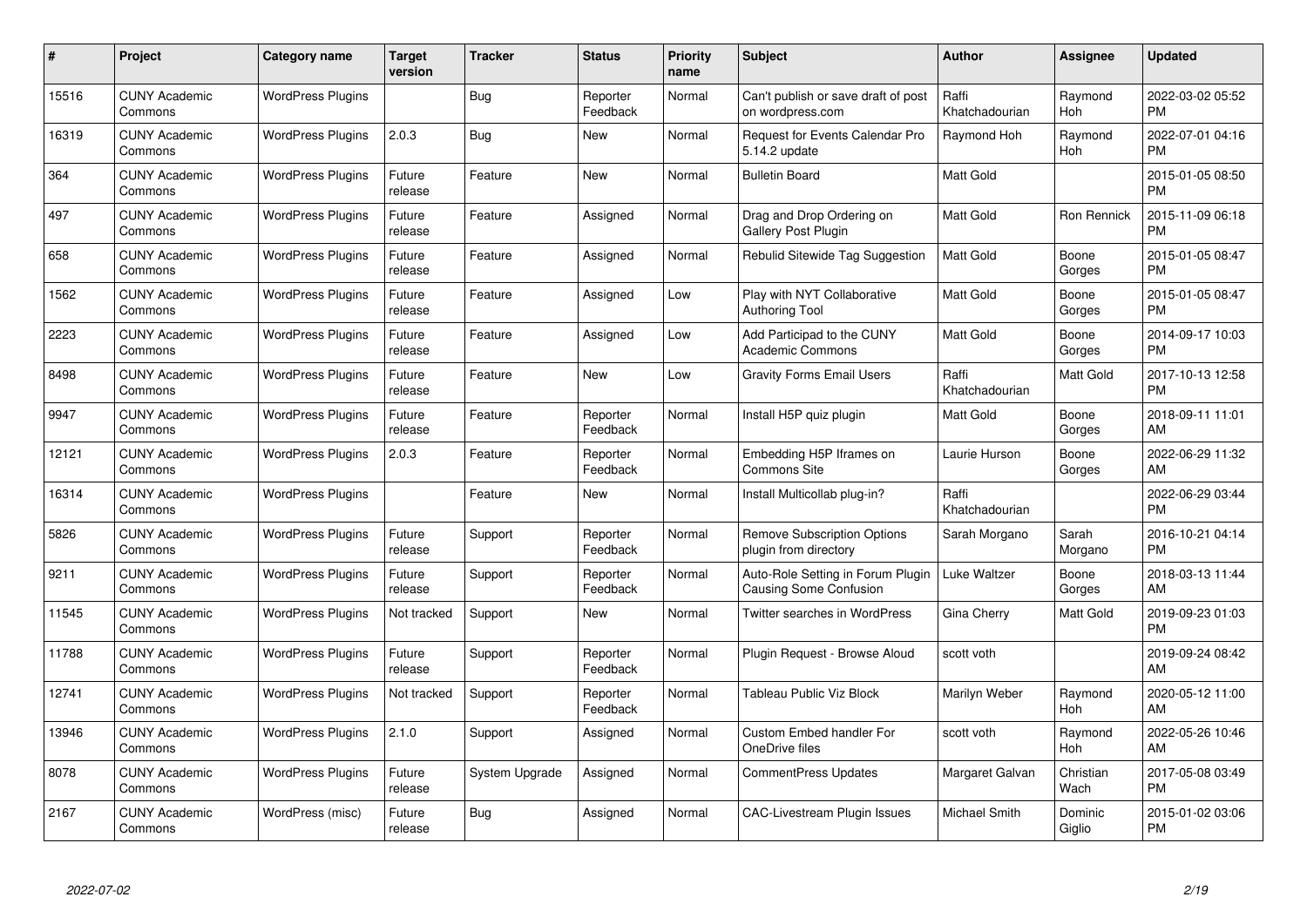| #     | Project                         | <b>Category name</b>     | <b>Target</b><br>version | <b>Tracker</b> | <b>Status</b>        | Priority<br>name | <b>Subject</b>                                                     | <b>Author</b>           | <b>Assignee</b>   | <b>Updated</b>                |
|-------|---------------------------------|--------------------------|--------------------------|----------------|----------------------|------------------|--------------------------------------------------------------------|-------------------------|-------------------|-------------------------------|
| 15516 | <b>CUNY Academic</b><br>Commons | <b>WordPress Plugins</b> |                          | Bug            | Reporter<br>Feedback | Normal           | Can't publish or save draft of post<br>on wordpress.com            | Raffi<br>Khatchadourian | Raymond<br>Hoh    | 2022-03-02 05:52<br><b>PM</b> |
| 16319 | <b>CUNY Academic</b><br>Commons | <b>WordPress Plugins</b> | 2.0.3                    | <b>Bug</b>     | <b>New</b>           | Normal           | Request for Events Calendar Pro<br>5.14.2 update                   | Raymond Hoh             | Raymond<br>Hoh    | 2022-07-01 04:16<br><b>PM</b> |
| 364   | <b>CUNY Academic</b><br>Commons | <b>WordPress Plugins</b> | Future<br>release        | Feature        | <b>New</b>           | Normal           | <b>Bulletin Board</b>                                              | Matt Gold               |                   | 2015-01-05 08:50<br><b>PM</b> |
| 497   | <b>CUNY Academic</b><br>Commons | <b>WordPress Plugins</b> | Future<br>release        | Feature        | Assigned             | Normal           | Drag and Drop Ordering on<br>Gallery Post Plugin                   | Matt Gold               | Ron Rennick       | 2015-11-09 06:18<br><b>PM</b> |
| 658   | <b>CUNY Academic</b><br>Commons | <b>WordPress Plugins</b> | Future<br>release        | Feature        | Assigned             | Normal           | Rebulid Sitewide Tag Suggestion                                    | <b>Matt Gold</b>        | Boone<br>Gorges   | 2015-01-05 08:47<br><b>PM</b> |
| 1562  | <b>CUNY Academic</b><br>Commons | <b>WordPress Plugins</b> | Future<br>release        | Feature        | Assigned             | Low              | Play with NYT Collaborative<br>Authoring Tool                      | <b>Matt Gold</b>        | Boone<br>Gorges   | 2015-01-05 08:47<br><b>PM</b> |
| 2223  | <b>CUNY Academic</b><br>Commons | <b>WordPress Plugins</b> | Future<br>release        | Feature        | Assigned             | Low              | Add Participad to the CUNY<br><b>Academic Commons</b>              | Matt Gold               | Boone<br>Gorges   | 2014-09-17 10:03<br><b>PM</b> |
| 8498  | <b>CUNY Academic</b><br>Commons | <b>WordPress Plugins</b> | Future<br>release        | Feature        | New                  | Low              | <b>Gravity Forms Email Users</b>                                   | Raffi<br>Khatchadourian | Matt Gold         | 2017-10-13 12:58<br><b>PM</b> |
| 9947  | <b>CUNY Academic</b><br>Commons | <b>WordPress Plugins</b> | Future<br>release        | Feature        | Reporter<br>Feedback | Normal           | Install H5P quiz plugin                                            | Matt Gold               | Boone<br>Gorges   | 2018-09-11 11:01<br>AM        |
| 12121 | <b>CUNY Academic</b><br>Commons | <b>WordPress Plugins</b> | 2.0.3                    | Feature        | Reporter<br>Feedback | Normal           | Embedding H5P Iframes on<br>Commons Site                           | Laurie Hurson           | Boone<br>Gorges   | 2022-06-29 11:32<br>AM        |
| 16314 | <b>CUNY Academic</b><br>Commons | <b>WordPress Plugins</b> |                          | Feature        | New                  | Normal           | Install Multicollab plug-in?                                       | Raffi<br>Khatchadourian |                   | 2022-06-29 03:44<br><b>PM</b> |
| 5826  | <b>CUNY Academic</b><br>Commons | <b>WordPress Plugins</b> | Future<br>release        | Support        | Reporter<br>Feedback | Normal           | <b>Remove Subscription Options</b><br>plugin from directory        | Sarah Morgano           | Sarah<br>Morgano  | 2016-10-21 04:14<br><b>PM</b> |
| 9211  | <b>CUNY Academic</b><br>Commons | <b>WordPress Plugins</b> | Future<br>release        | Support        | Reporter<br>Feedback | Normal           | Auto-Role Setting in Forum Plugin<br><b>Causing Some Confusion</b> | Luke Waltzer            | Boone<br>Gorges   | 2018-03-13 11:44<br>AM        |
| 11545 | <b>CUNY Academic</b><br>Commons | <b>WordPress Plugins</b> | Not tracked              | Support        | New                  | Normal           | Twitter searches in WordPress                                      | Gina Cherry             | Matt Gold         | 2019-09-23 01:03<br><b>PM</b> |
| 11788 | <b>CUNY Academic</b><br>Commons | <b>WordPress Plugins</b> | Future<br>release        | Support        | Reporter<br>Feedback | Normal           | Plugin Request - Browse Aloud                                      | scott voth              |                   | 2019-09-24 08:42<br>AM        |
| 12741 | <b>CUNY Academic</b><br>Commons | <b>WordPress Plugins</b> | Not tracked              | Support        | Reporter<br>Feedback | Normal           | <b>Tableau Public Viz Block</b>                                    | Marilyn Weber           | Raymond<br>Hoh    | 2020-05-12 11:00<br>AM        |
| 13946 | <b>CUNY Academic</b><br>Commons | <b>WordPress Plugins</b> | 2.1.0                    | Support        | Assigned             | Normal           | <b>Custom Embed handler For</b><br>OneDrive files                  | scott voth              | Raymond<br>Hoh    | 2022-05-26 10:46<br>AM        |
| 8078  | <b>CUNY Academic</b><br>Commons | <b>WordPress Plugins</b> | Future<br>release        | System Upgrade | Assigned             | Normal           | <b>CommentPress Updates</b>                                        | Margaret Galvan         | Christian<br>Wach | 2017-05-08 03:49<br><b>PM</b> |
| 2167  | CUNY Academic<br>Commons        | WordPress (misc)         | Future<br>release        | Bug            | Assigned             | Normal           | <b>CAC-Livestream Plugin Issues</b>                                | <b>Michael Smith</b>    | Dominic<br>Giglio | 2015-01-02 03:06<br><b>PM</b> |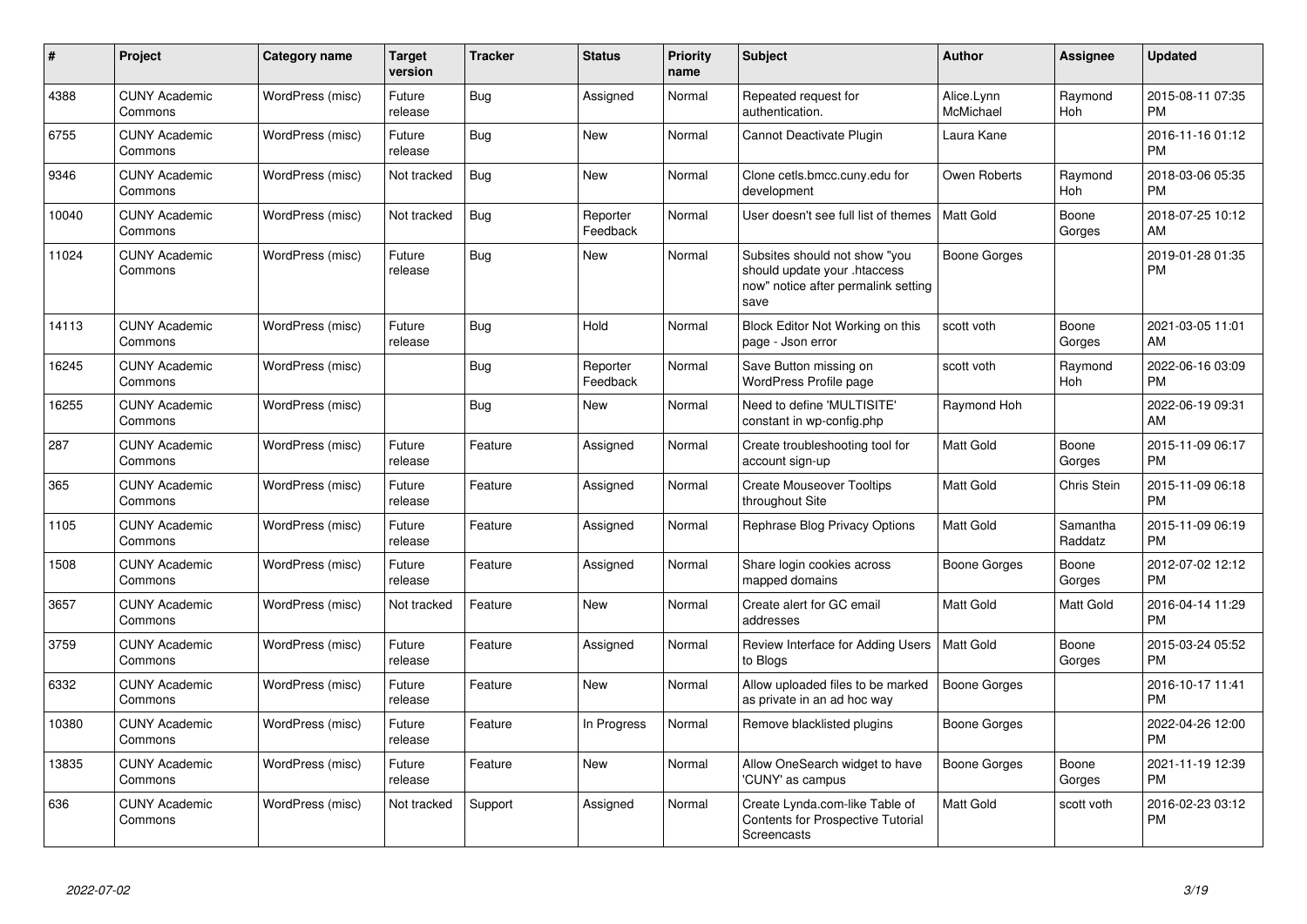| #     | <b>Project</b>                  | <b>Category name</b> | <b>Target</b><br>version | <b>Tracker</b> | <b>Status</b>        | <b>Priority</b><br>name | <b>Subject</b>                                                                                               | <b>Author</b>           | Assignee            | <b>Updated</b>                |
|-------|---------------------------------|----------------------|--------------------------|----------------|----------------------|-------------------------|--------------------------------------------------------------------------------------------------------------|-------------------------|---------------------|-------------------------------|
| 4388  | <b>CUNY Academic</b><br>Commons | WordPress (misc)     | Future<br>release        | Bug            | Assigned             | Normal                  | Repeated request for<br>authentication.                                                                      | Alice.Lynn<br>McMichael | Raymond<br>Hoh      | 2015-08-11 07:35<br><b>PM</b> |
| 6755  | <b>CUNY Academic</b><br>Commons | WordPress (misc)     | Future<br>release        | Bug            | <b>New</b>           | Normal                  | Cannot Deactivate Plugin                                                                                     | Laura Kane              |                     | 2016-11-16 01:12<br><b>PM</b> |
| 9346  | <b>CUNY Academic</b><br>Commons | WordPress (misc)     | Not tracked              | <b>Bug</b>     | <b>New</b>           | Normal                  | Clone cetls.bmcc.cuny.edu for<br>development                                                                 | Owen Roberts            | Raymond<br>Hoh      | 2018-03-06 05:35<br><b>PM</b> |
| 10040 | <b>CUNY Academic</b><br>Commons | WordPress (misc)     | Not tracked              | <b>Bug</b>     | Reporter<br>Feedback | Normal                  | User doesn't see full list of themes                                                                         | <b>Matt Gold</b>        | Boone<br>Gorges     | 2018-07-25 10:12<br>AM        |
| 11024 | <b>CUNY Academic</b><br>Commons | WordPress (misc)     | Future<br>release        | <b>Bug</b>     | New                  | Normal                  | Subsites should not show "you<br>should update your .htaccess<br>now" notice after permalink setting<br>save | Boone Gorges            |                     | 2019-01-28 01:35<br><b>PM</b> |
| 14113 | <b>CUNY Academic</b><br>Commons | WordPress (misc)     | Future<br>release        | Bug            | Hold                 | Normal                  | Block Editor Not Working on this<br>page - Json error                                                        | scott voth              | Boone<br>Gorges     | 2021-03-05 11:01<br>AM        |
| 16245 | <b>CUNY Academic</b><br>Commons | WordPress (misc)     |                          | Bug            | Reporter<br>Feedback | Normal                  | Save Button missing on<br>WordPress Profile page                                                             | scott voth              | Raymond<br>Hoh      | 2022-06-16 03:09<br><b>PM</b> |
| 16255 | <b>CUNY Academic</b><br>Commons | WordPress (misc)     |                          | <b>Bug</b>     | <b>New</b>           | Normal                  | Need to define 'MULTISITE'<br>constant in wp-config.php                                                      | Raymond Hoh             |                     | 2022-06-19 09:31<br>AM        |
| 287   | <b>CUNY Academic</b><br>Commons | WordPress (misc)     | Future<br>release        | Feature        | Assigned             | Normal                  | Create troubleshooting tool for<br>account sign-up                                                           | Matt Gold               | Boone<br>Gorges     | 2015-11-09 06:17<br><b>PM</b> |
| 365   | <b>CUNY Academic</b><br>Commons | WordPress (misc)     | Future<br>release        | Feature        | Assigned             | Normal                  | <b>Create Mouseover Tooltips</b><br>throughout Site                                                          | <b>Matt Gold</b>        | Chris Stein         | 2015-11-09 06:18<br><b>PM</b> |
| 1105  | <b>CUNY Academic</b><br>Commons | WordPress (misc)     | Future<br>release        | Feature        | Assigned             | Normal                  | Rephrase Blog Privacy Options                                                                                | <b>Matt Gold</b>        | Samantha<br>Raddatz | 2015-11-09 06:19<br><b>PM</b> |
| 1508  | <b>CUNY Academic</b><br>Commons | WordPress (misc)     | Future<br>release        | Feature        | Assigned             | Normal                  | Share login cookies across<br>mapped domains                                                                 | Boone Gorges            | Boone<br>Gorges     | 2012-07-02 12:12<br><b>PM</b> |
| 3657  | <b>CUNY Academic</b><br>Commons | WordPress (misc)     | Not tracked              | Feature        | <b>New</b>           | Normal                  | Create alert for GC email<br>addresses                                                                       | <b>Matt Gold</b>        | Matt Gold           | 2016-04-14 11:29<br><b>PM</b> |
| 3759  | <b>CUNY Academic</b><br>Commons | WordPress (misc)     | Future<br>release        | Feature        | Assigned             | Normal                  | Review Interface for Adding Users<br>to Blogs                                                                | <b>Matt Gold</b>        | Boone<br>Gorges     | 2015-03-24 05:52<br><b>PM</b> |
| 6332  | <b>CUNY Academic</b><br>Commons | WordPress (misc)     | Future<br>release        | Feature        | New                  | Normal                  | Allow uploaded files to be marked<br>as private in an ad hoc way                                             | Boone Gorges            |                     | 2016-10-17 11:41<br><b>PM</b> |
| 10380 | <b>CUNY Academic</b><br>Commons | WordPress (misc)     | Future<br>release        | Feature        | In Progress          | Normal                  | Remove blacklisted plugins                                                                                   | Boone Gorges            |                     | 2022-04-26 12:00<br><b>PM</b> |
| 13835 | <b>CUNY Academic</b><br>Commons | WordPress (misc)     | Future<br>release        | Feature        | New                  | Normal                  | Allow OneSearch widget to have<br>'CUNY' as campus                                                           | Boone Gorges            | Boone<br>Gorges     | 2021-11-19 12:39<br><b>PM</b> |
| 636   | <b>CUNY Academic</b><br>Commons | WordPress (misc)     | Not tracked              | Support        | Assigned             | Normal                  | Create Lynda.com-like Table of<br>Contents for Prospective Tutorial<br>Screencasts                           | Matt Gold               | scott voth          | 2016-02-23 03:12<br><b>PM</b> |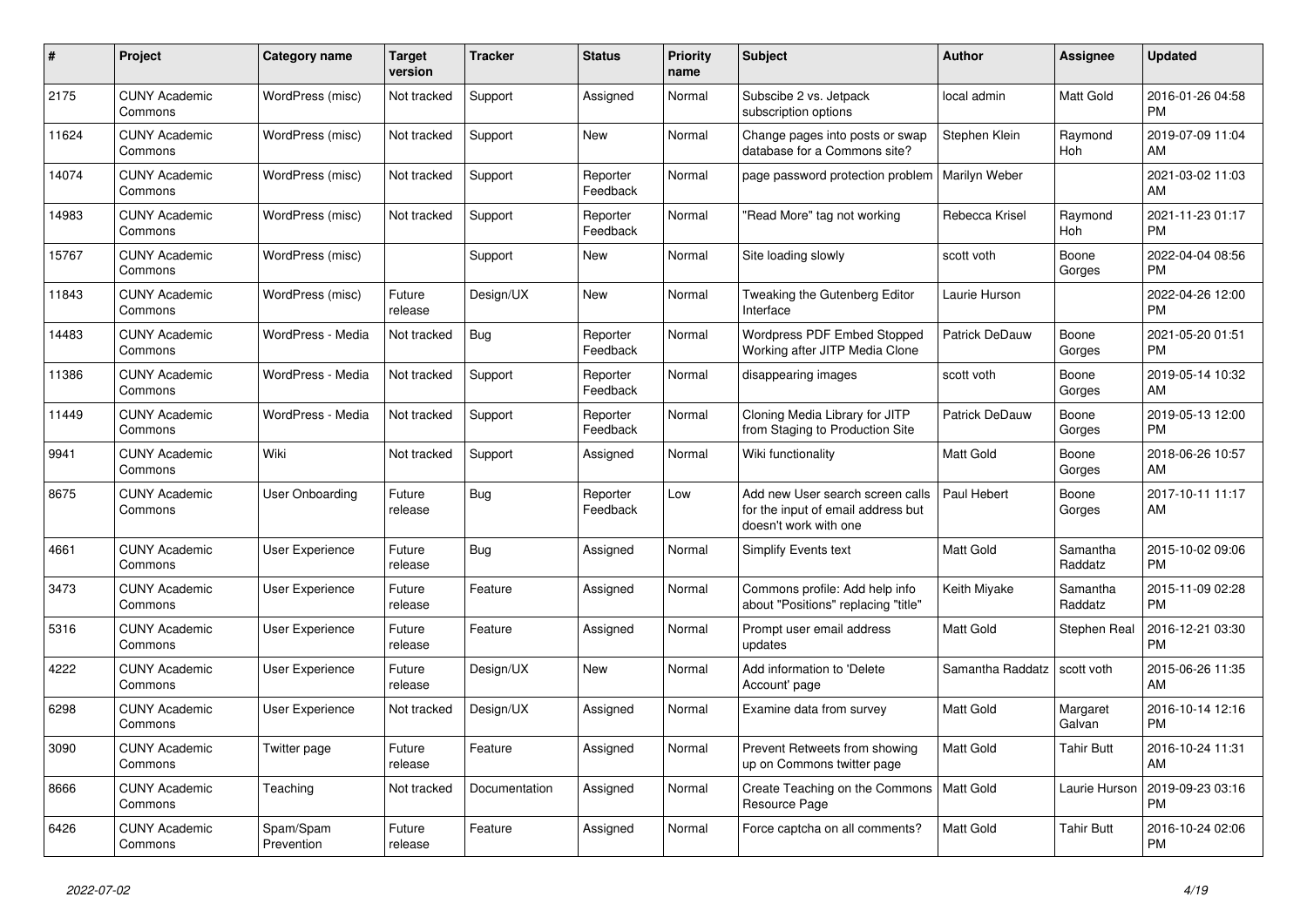| #     | Project                         | <b>Category name</b>    | <b>Target</b><br>version | <b>Tracker</b> | <b>Status</b>        | <b>Priority</b><br>name | <b>Subject</b>                                                                                  | <b>Author</b>         | Assignee            | <b>Updated</b>                |
|-------|---------------------------------|-------------------------|--------------------------|----------------|----------------------|-------------------------|-------------------------------------------------------------------------------------------------|-----------------------|---------------------|-------------------------------|
| 2175  | <b>CUNY Academic</b><br>Commons | WordPress (misc)        | Not tracked              | Support        | Assigned             | Normal                  | Subscibe 2 vs. Jetpack<br>subscription options                                                  | local admin           | Matt Gold           | 2016-01-26 04:58<br><b>PM</b> |
| 11624 | <b>CUNY Academic</b><br>Commons | WordPress (misc)        | Not tracked              | Support        | <b>New</b>           | Normal                  | Change pages into posts or swap<br>database for a Commons site?                                 | Stephen Klein         | Raymond<br>Hoh      | 2019-07-09 11:04<br>AM        |
| 14074 | <b>CUNY Academic</b><br>Commons | WordPress (misc)        | Not tracked              | Support        | Reporter<br>Feedback | Normal                  | page password protection problem                                                                | Marilyn Weber         |                     | 2021-03-02 11:03<br>AM        |
| 14983 | <b>CUNY Academic</b><br>Commons | WordPress (misc)        | Not tracked              | Support        | Reporter<br>Feedback | Normal                  | "Read More" tag not working                                                                     | Rebecca Krisel        | Raymond<br>Hoh      | 2021-11-23 01:17<br><b>PM</b> |
| 15767 | <b>CUNY Academic</b><br>Commons | WordPress (misc)        |                          | Support        | New                  | Normal                  | Site loading slowly                                                                             | scott voth            | Boone<br>Gorges     | 2022-04-04 08:56<br><b>PM</b> |
| 11843 | <b>CUNY Academic</b><br>Commons | WordPress (misc)        | Future<br>release        | Design/UX      | New                  | Normal                  | <b>Tweaking the Gutenberg Editor</b><br>Interface                                               | Laurie Hurson         |                     | 2022-04-26 12:00<br><b>PM</b> |
| 14483 | <b>CUNY Academic</b><br>Commons | WordPress - Media       | Not tracked              | Bug            | Reporter<br>Feedback | Normal                  | Wordpress PDF Embed Stopped<br>Working after JITP Media Clone                                   | Patrick DeDauw        | Boone<br>Gorges     | 2021-05-20 01:51<br><b>PM</b> |
| 11386 | <b>CUNY Academic</b><br>Commons | WordPress - Media       | Not tracked              | Support        | Reporter<br>Feedback | Normal                  | disappearing images                                                                             | scott voth            | Boone<br>Gorges     | 2019-05-14 10:32<br>AM        |
| 11449 | <b>CUNY Academic</b><br>Commons | WordPress - Media       | Not tracked              | Support        | Reporter<br>Feedback | Normal                  | Cloning Media Library for JITP<br>from Staging to Production Site                               | <b>Patrick DeDauw</b> | Boone<br>Gorges     | 2019-05-13 12:00<br><b>PM</b> |
| 9941  | <b>CUNY Academic</b><br>Commons | Wiki                    | Not tracked              | Support        | Assigned             | Normal                  | Wiki functionality                                                                              | <b>Matt Gold</b>      | Boone<br>Gorges     | 2018-06-26 10:57<br>AM        |
| 8675  | <b>CUNY Academic</b><br>Commons | User Onboarding         | Future<br>release        | Bug            | Reporter<br>Feedback | Low                     | Add new User search screen calls<br>for the input of email address but<br>doesn't work with one | Paul Hebert           | Boone<br>Gorges     | 2017-10-11 11:17<br>AM        |
| 4661  | <b>CUNY Academic</b><br>Commons | User Experience         | Future<br>release        | Bug            | Assigned             | Normal                  | <b>Simplify Events text</b>                                                                     | <b>Matt Gold</b>      | Samantha<br>Raddatz | 2015-10-02 09:06<br><b>PM</b> |
| 3473  | <b>CUNY Academic</b><br>Commons | User Experience         | Future<br>release        | Feature        | Assigned             | Normal                  | Commons profile: Add help info<br>about "Positions" replacing "title"                           | Keith Miyake          | Samantha<br>Raddatz | 2015-11-09 02:28<br><b>PM</b> |
| 5316  | <b>CUNY Academic</b><br>Commons | User Experience         | Future<br>release        | Feature        | Assigned             | Normal                  | Prompt user email address<br>updates                                                            | Matt Gold             | Stephen Real        | 2016-12-21 03:30<br><b>PM</b> |
| 4222  | <b>CUNY Academic</b><br>Commons | <b>User Experience</b>  | Future<br>release        | Design/UX      | New                  | Normal                  | Add information to 'Delete<br>Account' page                                                     | Samantha Raddatz      | scott voth          | 2015-06-26 11:35<br>AM        |
| 6298  | <b>CUNY Academic</b><br>Commons | <b>User Experience</b>  | Not tracked              | Design/UX      | Assigned             | Normal                  | Examine data from survey                                                                        | <b>Matt Gold</b>      | Margaret<br>Galvan  | 2016-10-14 12:16<br><b>PM</b> |
| 3090  | <b>CUNY Academic</b><br>Commons | Twitter page            | Future<br>release        | Feature        | Assigned             | Normal                  | Prevent Retweets from showing<br>up on Commons twitter page                                     | <b>Matt Gold</b>      | <b>Tahir Butt</b>   | 2016-10-24 11:31<br>AM        |
| 8666  | <b>CUNY Academic</b><br>Commons | Teaching                | Not tracked              | Documentation  | Assigned             | Normal                  | Create Teaching on the Commons<br>Resource Page                                                 | Matt Gold             | Laurie Hurson       | 2019-09-23 03:16<br><b>PM</b> |
| 6426  | <b>CUNY Academic</b><br>Commons | Spam/Spam<br>Prevention | Future<br>release        | Feature        | Assigned             | Normal                  | Force captcha on all comments?                                                                  | <b>Matt Gold</b>      | Tahir Butt          | 2016-10-24 02:06<br><b>PM</b> |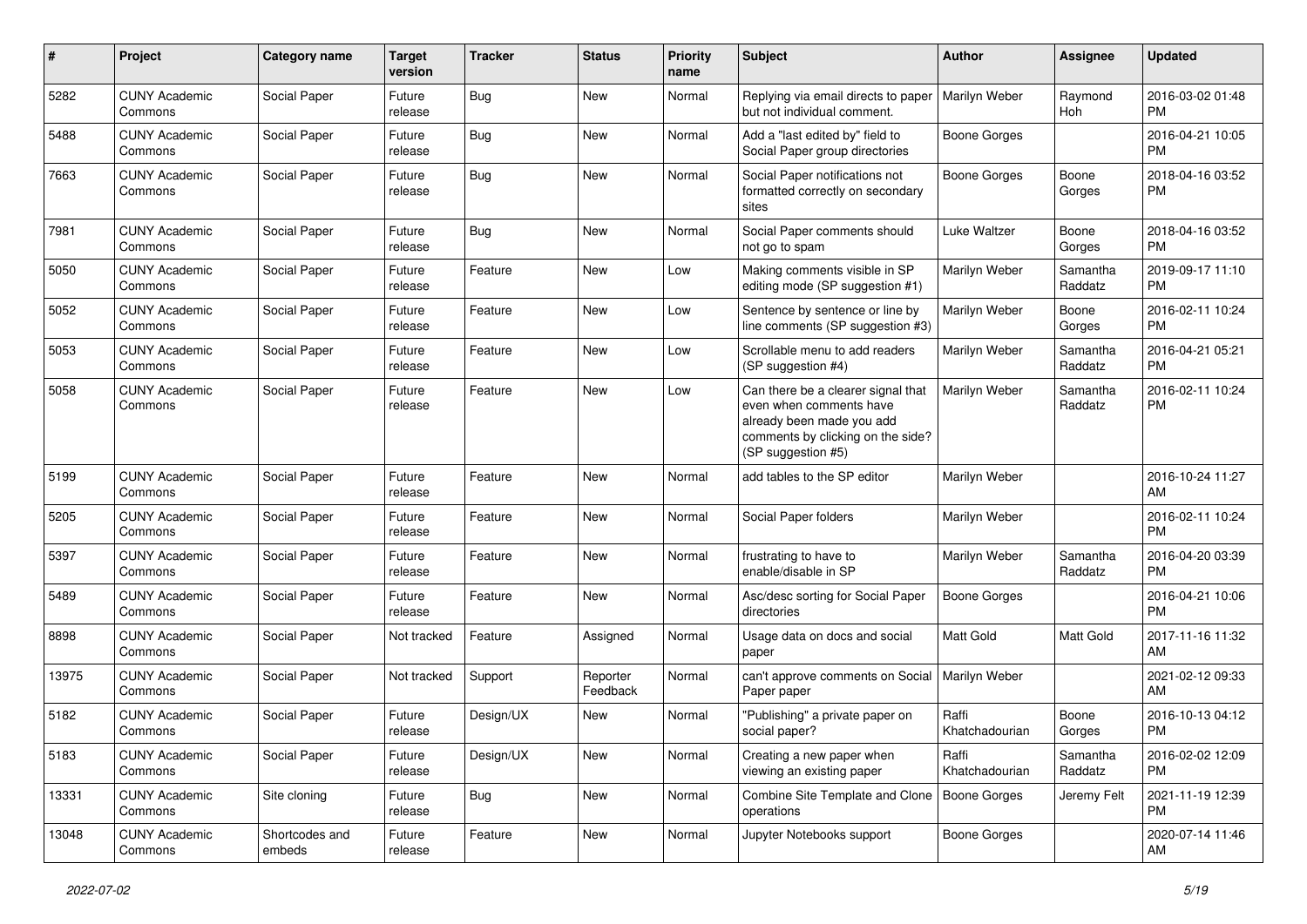| #     | Project                         | <b>Category name</b>     | <b>Target</b><br>version | <b>Tracker</b> | <b>Status</b>        | Priority<br>name | <b>Subject</b>                                                                                                                                        | Author                  | <b>Assignee</b>     | <b>Updated</b>                |
|-------|---------------------------------|--------------------------|--------------------------|----------------|----------------------|------------------|-------------------------------------------------------------------------------------------------------------------------------------------------------|-------------------------|---------------------|-------------------------------|
| 5282  | <b>CUNY Academic</b><br>Commons | Social Paper             | Future<br>release        | <b>Bug</b>     | <b>New</b>           | Normal           | Replying via email directs to paper<br>but not individual comment.                                                                                    | Marilyn Weber           | Raymond<br>Hoh      | 2016-03-02 01:48<br>PM.       |
| 5488  | <b>CUNY Academic</b><br>Commons | Social Paper             | Future<br>release        | Bug            | New                  | Normal           | Add a "last edited by" field to<br>Social Paper group directories                                                                                     | Boone Gorges            |                     | 2016-04-21 10:05<br><b>PM</b> |
| 7663  | <b>CUNY Academic</b><br>Commons | Social Paper             | Future<br>release        | Bug            | <b>New</b>           | Normal           | Social Paper notifications not<br>formatted correctly on secondary<br>sites                                                                           | Boone Gorges            | Boone<br>Gorges     | 2018-04-16 03:52<br><b>PM</b> |
| 7981  | <b>CUNY Academic</b><br>Commons | Social Paper             | Future<br>release        | <b>Bug</b>     | <b>New</b>           | Normal           | Social Paper comments should<br>not go to spam                                                                                                        | Luke Waltzer            | Boone<br>Gorges     | 2018-04-16 03:52<br>PM.       |
| 5050  | <b>CUNY Academic</b><br>Commons | Social Paper             | Future<br>release        | Feature        | <b>New</b>           | Low              | Making comments visible in SP<br>editing mode (SP suggestion #1)                                                                                      | Marilyn Weber           | Samantha<br>Raddatz | 2019-09-17 11:10<br><b>PM</b> |
| 5052  | <b>CUNY Academic</b><br>Commons | Social Paper             | Future<br>release        | Feature        | New                  | Low              | Sentence by sentence or line by<br>line comments (SP suggestion #3)                                                                                   | Marilyn Weber           | Boone<br>Gorges     | 2016-02-11 10:24<br><b>PM</b> |
| 5053  | <b>CUNY Academic</b><br>Commons | Social Paper             | Future<br>release        | Feature        | New                  | Low              | Scrollable menu to add readers<br>(SP suggestion #4)                                                                                                  | Marilyn Weber           | Samantha<br>Raddatz | 2016-04-21 05:21<br><b>PM</b> |
| 5058  | <b>CUNY Academic</b><br>Commons | Social Paper             | Future<br>release        | Feature        | New                  | Low              | Can there be a clearer signal that<br>even when comments have<br>already been made you add<br>comments by clicking on the side?<br>(SP suggestion #5) | Marilyn Weber           | Samantha<br>Raddatz | 2016-02-11 10:24<br><b>PM</b> |
| 5199  | <b>CUNY Academic</b><br>Commons | Social Paper             | Future<br>release        | Feature        | New                  | Normal           | add tables to the SP editor                                                                                                                           | Marilyn Weber           |                     | 2016-10-24 11:27<br>AM.       |
| 5205  | <b>CUNY Academic</b><br>Commons | Social Paper             | Future<br>release        | Feature        | New                  | Normal           | Social Paper folders                                                                                                                                  | Marilyn Weber           |                     | 2016-02-11 10:24<br><b>PM</b> |
| 5397  | <b>CUNY Academic</b><br>Commons | Social Paper             | Future<br>release        | Feature        | <b>New</b>           | Normal           | frustrating to have to<br>enable/disable in SP                                                                                                        | Marilyn Weber           | Samantha<br>Raddatz | 2016-04-20 03:39<br><b>PM</b> |
| 5489  | <b>CUNY Academic</b><br>Commons | Social Paper             | Future<br>release        | Feature        | New                  | Normal           | Asc/desc sorting for Social Paper<br>directories                                                                                                      | Boone Gorges            |                     | 2016-04-21 10:06<br><b>PM</b> |
| 8898  | <b>CUNY Academic</b><br>Commons | Social Paper             | Not tracked              | Feature        | Assigned             | Normal           | Usage data on docs and social<br>paper                                                                                                                | <b>Matt Gold</b>        | <b>Matt Gold</b>    | 2017-11-16 11:32<br>AM        |
| 13975 | <b>CUNY Academic</b><br>Commons | Social Paper             | Not tracked              | Support        | Reporter<br>Feedback | Normal           | can't approve comments on Social<br>Paper paper                                                                                                       | Marilyn Weber           |                     | 2021-02-12 09:33<br>AM        |
| 5182  | <b>CUNY Academic</b><br>Commons | Social Paper             | Future<br>release        | Design/UX      | New                  | Normal           | "Publishing" a private paper on<br>social paper?                                                                                                      | Raffi<br>Khatchadourian | Boone<br>Gorges     | 2016-10-13 04:12<br><b>PM</b> |
| 5183  | <b>CUNY Academic</b><br>Commons | Social Paper             | Future<br>release        | Design/UX      | New                  | Normal           | Creating a new paper when<br>viewing an existing paper                                                                                                | Raffi<br>Khatchadourian | Samantha<br>Raddatz | 2016-02-02 12:09<br><b>PM</b> |
| 13331 | <b>CUNY Academic</b><br>Commons | Site cloning             | Future<br>release        | <b>Bug</b>     | New                  | Normal           | Combine Site Template and Clone<br>operations                                                                                                         | Boone Gorges            | Jeremy Felt         | 2021-11-19 12:39<br>PM        |
| 13048 | <b>CUNY Academic</b><br>Commons | Shortcodes and<br>embeds | Future<br>release        | Feature        | New                  | Normal           | Jupyter Notebooks support                                                                                                                             | Boone Gorges            |                     | 2020-07-14 11:46<br>AM        |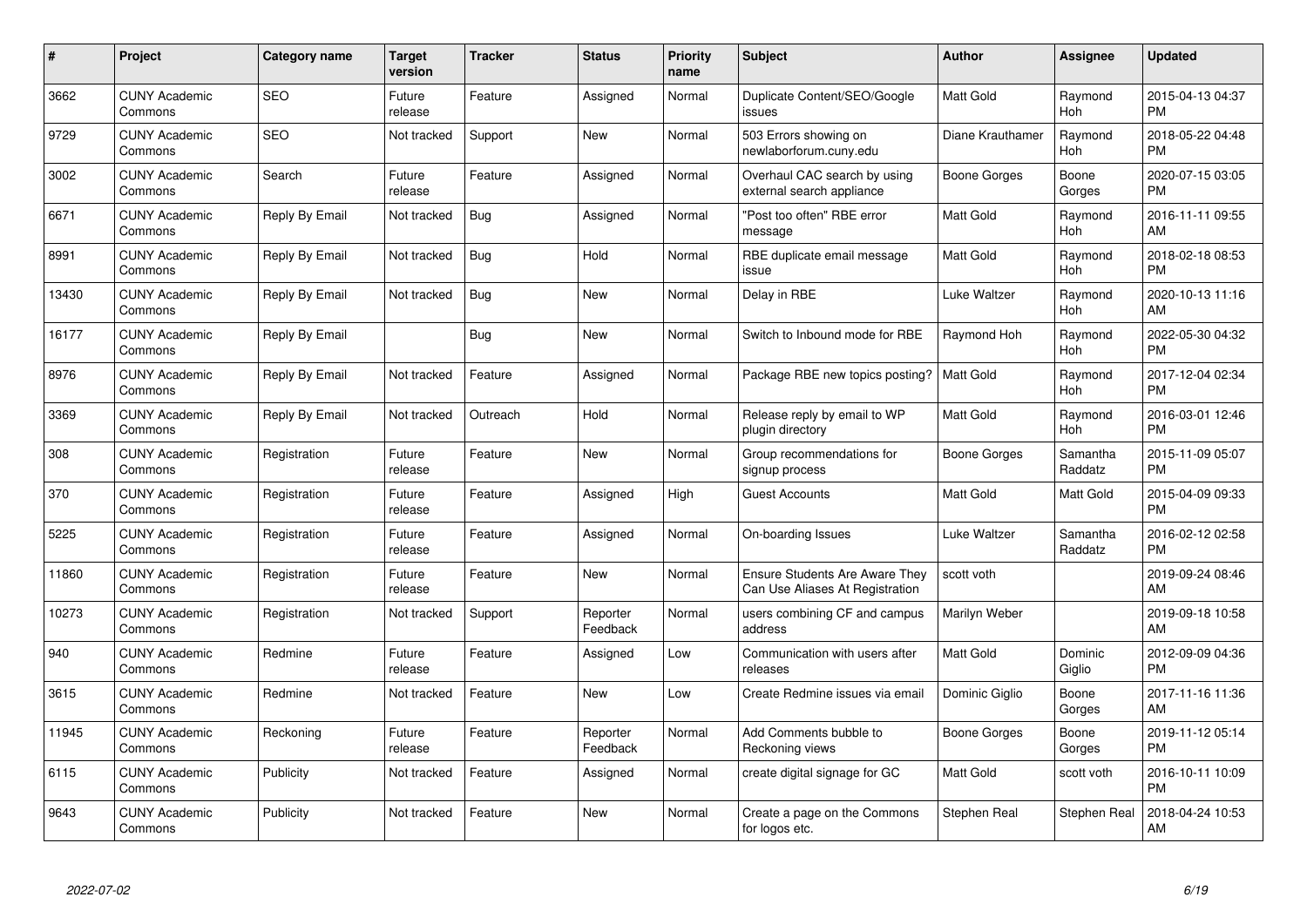| #     | Project                         | <b>Category name</b> | <b>Target</b><br>version | <b>Tracker</b> | <b>Status</b>        | <b>Priority</b><br>name | <b>Subject</b>                                                           | <b>Author</b>    | Assignee            | <b>Updated</b>                |
|-------|---------------------------------|----------------------|--------------------------|----------------|----------------------|-------------------------|--------------------------------------------------------------------------|------------------|---------------------|-------------------------------|
| 3662  | <b>CUNY Academic</b><br>Commons | <b>SEO</b>           | Future<br>release        | Feature        | Assigned             | Normal                  | Duplicate Content/SEO/Google<br>issues                                   | <b>Matt Gold</b> | Raymond<br>Hoh      | 2015-04-13 04:37<br><b>PM</b> |
| 9729  | <b>CUNY Academic</b><br>Commons | <b>SEO</b>           | Not tracked              | Support        | New                  | Normal                  | 503 Errors showing on<br>newlaborforum.cuny.edu                          | Diane Krauthamer | Raymond<br>Hoh      | 2018-05-22 04:48<br><b>PM</b> |
| 3002  | <b>CUNY Academic</b><br>Commons | Search               | Future<br>release        | Feature        | Assigned             | Normal                  | Overhaul CAC search by using<br>external search appliance                | Boone Gorges     | Boone<br>Gorges     | 2020-07-15 03:05<br><b>PM</b> |
| 6671  | <b>CUNY Academic</b><br>Commons | Reply By Email       | Not tracked              | Bug            | Assigned             | Normal                  | "Post too often" RBE error<br>message                                    | Matt Gold        | Raymond<br>Hoh      | 2016-11-11 09:55<br>AM        |
| 8991  | <b>CUNY Academic</b><br>Commons | Reply By Email       | Not tracked              | <b>Bug</b>     | Hold                 | Normal                  | RBE duplicate email message<br>issue                                     | <b>Matt Gold</b> | Raymond<br>Hoh      | 2018-02-18 08:53<br><b>PM</b> |
| 13430 | <b>CUNY Academic</b><br>Commons | Reply By Email       | Not tracked              | Bug            | New                  | Normal                  | Delay in RBE                                                             | Luke Waltzer     | Raymond<br>Hoh      | 2020-10-13 11:16<br>AM        |
| 16177 | <b>CUNY Academic</b><br>Commons | Reply By Email       |                          | Bug            | <b>New</b>           | Normal                  | Switch to Inbound mode for RBE                                           | Raymond Hoh      | Raymond<br>Hoh      | 2022-05-30 04:32<br><b>PM</b> |
| 8976  | <b>CUNY Academic</b><br>Commons | Reply By Email       | Not tracked              | Feature        | Assigned             | Normal                  | Package RBE new topics posting?                                          | <b>Matt Gold</b> | Raymond<br>Hoh      | 2017-12-04 02:34<br><b>PM</b> |
| 3369  | <b>CUNY Academic</b><br>Commons | Reply By Email       | Not tracked              | Outreach       | Hold                 | Normal                  | Release reply by email to WP<br>plugin directory                         | <b>Matt Gold</b> | Raymond<br>Hoh      | 2016-03-01 12:46<br><b>PM</b> |
| 308   | <b>CUNY Academic</b><br>Commons | Registration         | Future<br>release        | Feature        | <b>New</b>           | Normal                  | Group recommendations for<br>signup process                              | Boone Gorges     | Samantha<br>Raddatz | 2015-11-09 05:07<br><b>PM</b> |
| 370   | <b>CUNY Academic</b><br>Commons | Registration         | Future<br>release        | Feature        | Assigned             | High                    | <b>Guest Accounts</b>                                                    | Matt Gold        | Matt Gold           | 2015-04-09 09:33<br><b>PM</b> |
| 5225  | <b>CUNY Academic</b><br>Commons | Registration         | Future<br>release        | Feature        | Assigned             | Normal                  | On-boarding Issues                                                       | Luke Waltzer     | Samantha<br>Raddatz | 2016-02-12 02:58<br><b>PM</b> |
| 11860 | <b>CUNY Academic</b><br>Commons | Registration         | Future<br>release        | Feature        | <b>New</b>           | Normal                  | <b>Ensure Students Are Aware They</b><br>Can Use Aliases At Registration | scott voth       |                     | 2019-09-24 08:46<br>AM        |
| 10273 | <b>CUNY Academic</b><br>Commons | Registration         | Not tracked              | Support        | Reporter<br>Feedback | Normal                  | users combining CF and campus<br>address                                 | Marilyn Weber    |                     | 2019-09-18 10:58<br>AM        |
| 940   | <b>CUNY Academic</b><br>Commons | Redmine              | Future<br>release        | Feature        | Assigned             | Low                     | Communication with users after<br>releases                               | Matt Gold        | Dominic<br>Giglio   | 2012-09-09 04:36<br><b>PM</b> |
| 3615  | <b>CUNY Academic</b><br>Commons | Redmine              | Not tracked              | Feature        | <b>New</b>           | Low                     | Create Redmine issues via email                                          | Dominic Giglio   | Boone<br>Gorges     | 2017-11-16 11:36<br>AM        |
| 11945 | <b>CUNY Academic</b><br>Commons | Reckoning            | Future<br>release        | Feature        | Reporter<br>Feedback | Normal                  | Add Comments bubble to<br>Reckoning views                                | Boone Gorges     | Boone<br>Gorges     | 2019-11-12 05:14<br><b>PM</b> |
| 6115  | <b>CUNY Academic</b><br>Commons | Publicity            | Not tracked              | Feature        | Assigned             | Normal                  | create digital signage for GC                                            | <b>Matt Gold</b> | scott voth          | 2016-10-11 10:09<br><b>PM</b> |
| 9643  | <b>CUNY Academic</b><br>Commons | Publicity            | Not tracked              | Feature        | <b>New</b>           | Normal                  | Create a page on the Commons<br>for logos etc.                           | Stephen Real     | Stephen Real        | 2018-04-24 10:53<br>AM        |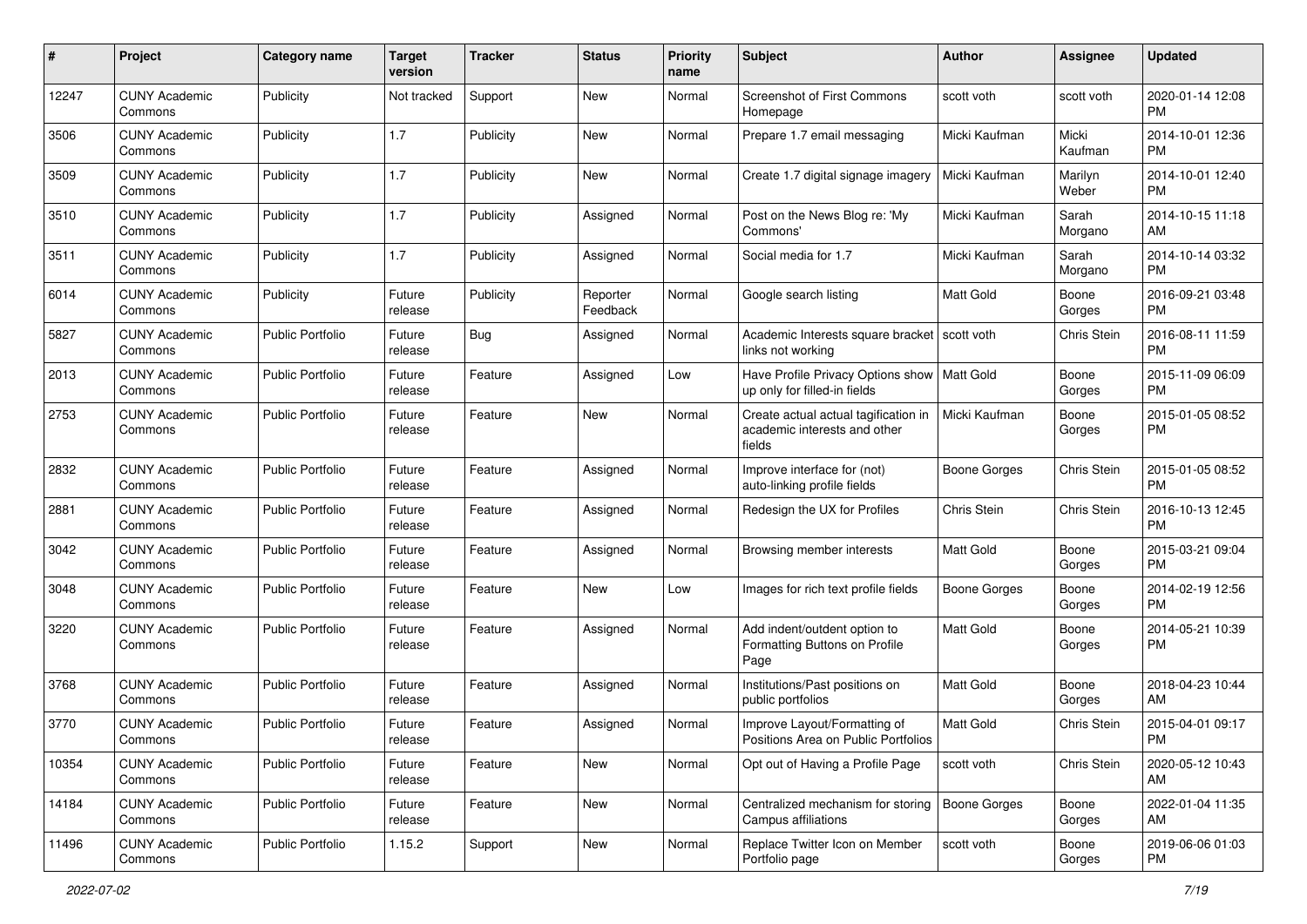| #     | Project                         | <b>Category name</b>    | <b>Target</b><br>version | <b>Tracker</b> | <b>Status</b>        | Priority<br>name | <b>Subject</b>                                                                 | Author              | <b>Assignee</b>  | <b>Updated</b>                |
|-------|---------------------------------|-------------------------|--------------------------|----------------|----------------------|------------------|--------------------------------------------------------------------------------|---------------------|------------------|-------------------------------|
| 12247 | <b>CUNY Academic</b><br>Commons | Publicity               | Not tracked              | Support        | New                  | Normal           | <b>Screenshot of First Commons</b><br>Homepage                                 | scott voth          | scott voth       | 2020-01-14 12:08<br>PM.       |
| 3506  | <b>CUNY Academic</b><br>Commons | Publicity               | 1.7                      | Publicity      | New                  | Normal           | Prepare 1.7 email messaging                                                    | Micki Kaufman       | Micki<br>Kaufman | 2014-10-01 12:36<br>PM.       |
| 3509  | <b>CUNY Academic</b><br>Commons | Publicity               | 1.7                      | Publicity      | New                  | Normal           | Create 1.7 digital signage imagery                                             | Micki Kaufman       | Marilyn<br>Weber | 2014-10-01 12:40<br>PM.       |
| 3510  | <b>CUNY Academic</b><br>Commons | Publicity               | 1.7                      | Publicity      | Assigned             | Normal           | Post on the News Blog re: 'My<br>Commons'                                      | Micki Kaufman       | Sarah<br>Morgano | 2014-10-15 11:18<br>AM        |
| 3511  | <b>CUNY Academic</b><br>Commons | Publicity               | 1.7                      | Publicity      | Assigned             | Normal           | Social media for 1.7                                                           | Micki Kaufman       | Sarah<br>Morgano | 2014-10-14 03:32<br><b>PM</b> |
| 6014  | <b>CUNY Academic</b><br>Commons | Publicity               | Future<br>release        | Publicity      | Reporter<br>Feedback | Normal           | Google search listing                                                          | Matt Gold           | Boone<br>Gorges  | 2016-09-21 03:48<br><b>PM</b> |
| 5827  | <b>CUNY Academic</b><br>Commons | <b>Public Portfolio</b> | Future<br>release        | Bug            | Assigned             | Normal           | Academic Interests square bracket<br>links not working                         | l scott voth        | Chris Stein      | 2016-08-11 11:59<br><b>PM</b> |
| 2013  | <b>CUNY Academic</b><br>Commons | Public Portfolio        | Future<br>release        | Feature        | Assigned             | Low              | Have Profile Privacy Options show   Matt Gold<br>up only for filled-in fields  |                     | Boone<br>Gorges  | 2015-11-09 06:09<br>PM.       |
| 2753  | <b>CUNY Academic</b><br>Commons | <b>Public Portfolio</b> | Future<br>release        | Feature        | New                  | Normal           | Create actual actual tagification in<br>academic interests and other<br>fields | Micki Kaufman       | Boone<br>Gorges  | 2015-01-05 08:52<br><b>PM</b> |
| 2832  | <b>CUNY Academic</b><br>Commons | <b>Public Portfolio</b> | Future<br>release        | Feature        | Assigned             | Normal           | Improve interface for (not)<br>auto-linking profile fields                     | <b>Boone Gorges</b> | Chris Stein      | 2015-01-05 08:52<br><b>PM</b> |
| 2881  | <b>CUNY Academic</b><br>Commons | <b>Public Portfolio</b> | Future<br>release        | Feature        | Assigned             | Normal           | Redesign the UX for Profiles                                                   | Chris Stein         | Chris Stein      | 2016-10-13 12:45<br><b>PM</b> |
| 3042  | <b>CUNY Academic</b><br>Commons | Public Portfolio        | Future<br>release        | Feature        | Assigned             | Normal           | Browsing member interests                                                      | <b>Matt Gold</b>    | Boone<br>Gorges  | 2015-03-21 09:04<br>PM        |
| 3048  | <b>CUNY Academic</b><br>Commons | <b>Public Portfolio</b> | Future<br>release        | Feature        | <b>New</b>           | Low              | Images for rich text profile fields                                            | Boone Gorges        | Boone<br>Gorges  | 2014-02-19 12:56<br>PM.       |
| 3220  | <b>CUNY Academic</b><br>Commons | <b>Public Portfolio</b> | Future<br>release        | Feature        | Assigned             | Normal           | Add indent/outdent option to<br>Formatting Buttons on Profile<br>Page          | <b>Matt Gold</b>    | Boone<br>Gorges  | 2014-05-21 10:39<br>PM.       |
| 3768  | <b>CUNY Academic</b><br>Commons | <b>Public Portfolio</b> | Future<br>release        | Feature        | Assigned             | Normal           | Institutions/Past positions on<br>public portfolios                            | <b>Matt Gold</b>    | Boone<br>Gorges  | 2018-04-23 10:44<br>AM        |
| 3770  | <b>CUNY Academic</b><br>Commons | <b>Public Portfolio</b> | Future<br>release        | Feature        | Assigned             | Normal           | Improve Layout/Formatting of<br>Positions Area on Public Portfolios            | <b>Matt Gold</b>    | Chris Stein      | 2015-04-01 09:17<br><b>PM</b> |
| 10354 | <b>CUNY Academic</b><br>Commons | <b>Public Portfolio</b> | Future<br>release        | Feature        | New                  | Normal           | Opt out of Having a Profile Page                                               | scott voth          | Chris Stein      | 2020-05-12 10:43<br>AM        |
| 14184 | <b>CUNY Academic</b><br>Commons | Public Portfolio        | Future<br>release        | Feature        | New                  | Normal           | Centralized mechanism for storing<br>Campus affiliations                       | Boone Gorges        | Boone<br>Gorges  | 2022-01-04 11:35<br>AM        |
| 11496 | <b>CUNY Academic</b><br>Commons | Public Portfolio        | 1.15.2                   | Support        | New                  | Normal           | Replace Twitter Icon on Member<br>Portfolio page                               | scott voth          | Boone<br>Gorges  | 2019-06-06 01:03<br><b>PM</b> |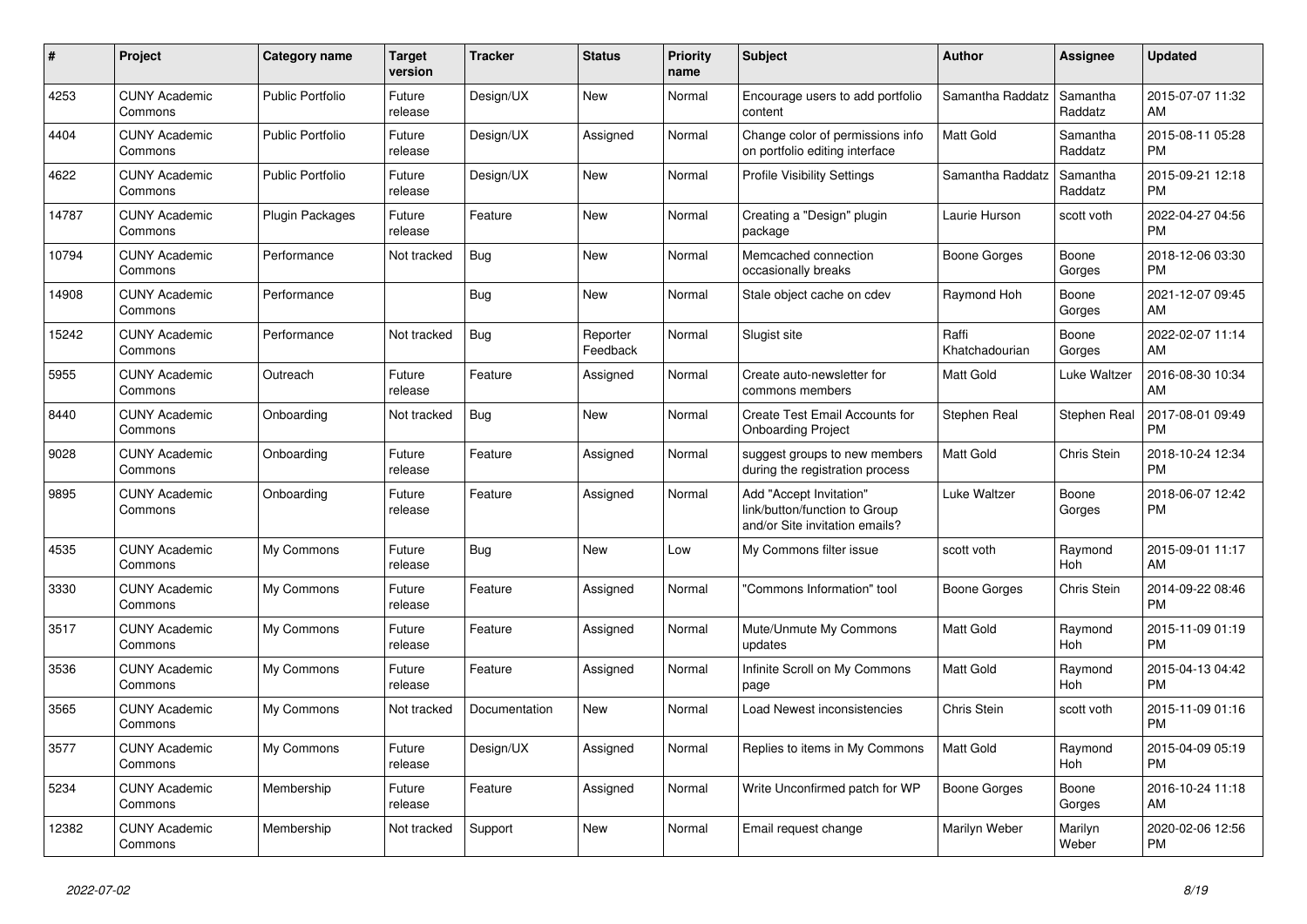| $\pmb{\#}$ | <b>Project</b>                  | Category name           | <b>Target</b><br>version | <b>Tracker</b> | <b>Status</b>        | <b>Priority</b><br>name | <b>Subject</b>                                                                             | <b>Author</b>           | Assignee            | <b>Updated</b>                |
|------------|---------------------------------|-------------------------|--------------------------|----------------|----------------------|-------------------------|--------------------------------------------------------------------------------------------|-------------------------|---------------------|-------------------------------|
| 4253       | <b>CUNY Academic</b><br>Commons | <b>Public Portfolio</b> | Future<br>release        | Design/UX      | New                  | Normal                  | Encourage users to add portfolio<br>content                                                | Samantha Raddatz        | Samantha<br>Raddatz | 2015-07-07 11:32<br>AM        |
| 4404       | <b>CUNY Academic</b><br>Commons | <b>Public Portfolio</b> | Future<br>release        | Design/UX      | Assigned             | Normal                  | Change color of permissions info<br>on portfolio editing interface                         | <b>Matt Gold</b>        | Samantha<br>Raddatz | 2015-08-11 05:28<br><b>PM</b> |
| 4622       | <b>CUNY Academic</b><br>Commons | <b>Public Portfolio</b> | Future<br>release        | Design/UX      | New                  | Normal                  | <b>Profile Visibility Settings</b>                                                         | Samantha Raddatz        | Samantha<br>Raddatz | 2015-09-21 12:18<br><b>PM</b> |
| 14787      | <b>CUNY Academic</b><br>Commons | <b>Plugin Packages</b>  | Future<br>release        | Feature        | <b>New</b>           | Normal                  | Creating a "Design" plugin<br>package                                                      | Laurie Hurson           | scott voth          | 2022-04-27 04:56<br><b>PM</b> |
| 10794      | <b>CUNY Academic</b><br>Commons | Performance             | Not tracked              | Bug            | New                  | Normal                  | Memcached connection<br>occasionally breaks                                                | Boone Gorges            | Boone<br>Gorges     | 2018-12-06 03:30<br><b>PM</b> |
| 14908      | <b>CUNY Academic</b><br>Commons | Performance             |                          | Bug            | New                  | Normal                  | Stale object cache on cdev                                                                 | Raymond Hoh             | Boone<br>Gorges     | 2021-12-07 09:45<br>AM        |
| 15242      | <b>CUNY Academic</b><br>Commons | Performance             | Not tracked              | <b>Bug</b>     | Reporter<br>Feedback | Normal                  | Slugist site                                                                               | Raffi<br>Khatchadourian | Boone<br>Gorges     | 2022-02-07 11:14<br>AM        |
| 5955       | <b>CUNY Academic</b><br>Commons | Outreach                | Future<br>release        | Feature        | Assigned             | Normal                  | Create auto-newsletter for<br>commons members                                              | <b>Matt Gold</b>        | Luke Waltzer        | 2016-08-30 10:34<br>AM        |
| 8440       | <b>CUNY Academic</b><br>Commons | Onboarding              | Not tracked              | Bug            | New                  | Normal                  | Create Test Email Accounts for<br><b>Onboarding Project</b>                                | Stephen Real            | Stephen Real        | 2017-08-01 09:49<br><b>PM</b> |
| 9028       | <b>CUNY Academic</b><br>Commons | Onboarding              | Future<br>release        | Feature        | Assigned             | Normal                  | suggest groups to new members<br>during the registration process                           | Matt Gold               | Chris Stein         | 2018-10-24 12:34<br><b>PM</b> |
| 9895       | <b>CUNY Academic</b><br>Commons | Onboarding              | Future<br>release        | Feature        | Assigned             | Normal                  | Add "Accept Invitation"<br>link/button/function to Group<br>and/or Site invitation emails? | Luke Waltzer            | Boone<br>Gorges     | 2018-06-07 12:42<br><b>PM</b> |
| 4535       | <b>CUNY Academic</b><br>Commons | My Commons              | Future<br>release        | Bug            | New                  | Low                     | My Commons filter issue                                                                    | scott voth              | Raymond<br>Hoh      | 2015-09-01 11:17<br>AM        |
| 3330       | <b>CUNY Academic</b><br>Commons | My Commons              | Future<br>release        | Feature        | Assigned             | Normal                  | "Commons Information" tool                                                                 | Boone Gorges            | Chris Stein         | 2014-09-22 08:46<br><b>PM</b> |
| 3517       | <b>CUNY Academic</b><br>Commons | My Commons              | Future<br>release        | Feature        | Assigned             | Normal                  | Mute/Unmute My Commons<br>updates                                                          | <b>Matt Gold</b>        | Raymond<br>Hoh      | 2015-11-09 01:19<br><b>PM</b> |
| 3536       | <b>CUNY Academic</b><br>Commons | My Commons              | Future<br>release        | Feature        | Assigned             | Normal                  | Infinite Scroll on My Commons<br>page                                                      | <b>Matt Gold</b>        | Raymond<br>Hoh      | 2015-04-13 04:42<br><b>PM</b> |
| 3565       | <b>CUNY Academic</b><br>Commons | My Commons              | Not tracked              | Documentation  | New                  | Normal                  | Load Newest inconsistencies                                                                | Chris Stein             | scott voth          | 2015-11-09 01:16<br><b>PM</b> |
| 3577       | <b>CUNY Academic</b><br>Commons | My Commons              | Future<br>release        | Design/UX      | Assigned             | Normal                  | Replies to items in My Commons                                                             | <b>Matt Gold</b>        | Raymond<br>Hoh      | 2015-04-09 05:19<br><b>PM</b> |
| 5234       | <b>CUNY Academic</b><br>Commons | Membership              | Future<br>release        | Feature        | Assigned             | Normal                  | Write Unconfirmed patch for WP                                                             | Boone Gorges            | Boone<br>Gorges     | 2016-10-24 11:18<br>AM        |
| 12382      | <b>CUNY Academic</b><br>Commons | Membership              | Not tracked              | Support        | <b>New</b>           | Normal                  | Email request change                                                                       | Marilyn Weber           | Marilyn<br>Weber    | 2020-02-06 12:56<br><b>PM</b> |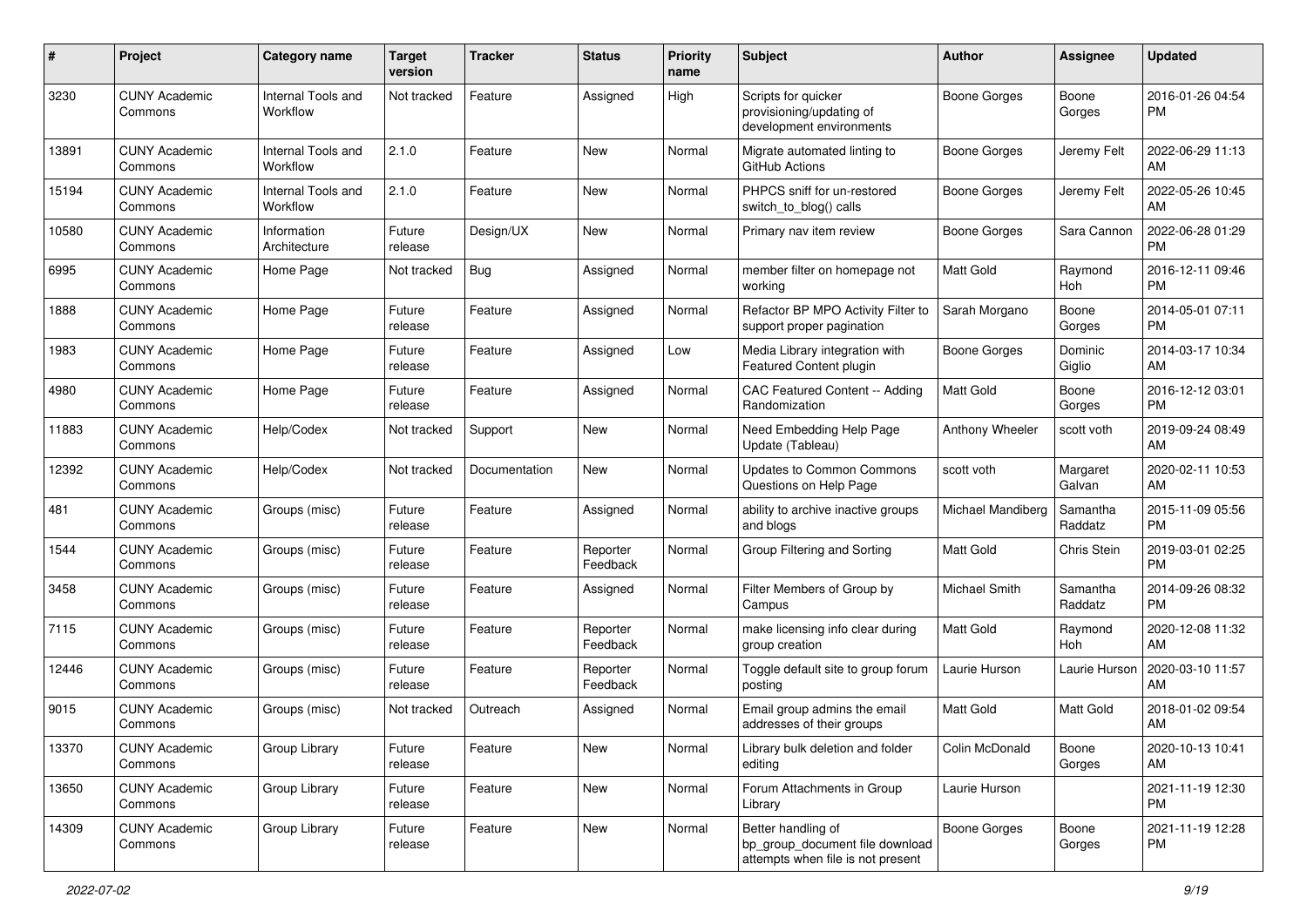| #     | Project                         | <b>Category name</b>           | Target<br>version | <b>Tracker</b> | <b>Status</b>        | Priority<br>name | <b>Subject</b>                                                                             | <b>Author</b>        | <b>Assignee</b>     | <b>Updated</b>                |
|-------|---------------------------------|--------------------------------|-------------------|----------------|----------------------|------------------|--------------------------------------------------------------------------------------------|----------------------|---------------------|-------------------------------|
| 3230  | <b>CUNY Academic</b><br>Commons | Internal Tools and<br>Workflow | Not tracked       | Feature        | Assigned             | High             | Scripts for quicker<br>provisioning/updating of<br>development environments                | <b>Boone Gorges</b>  | Boone<br>Gorges     | 2016-01-26 04:54<br>PM        |
| 13891 | <b>CUNY Academic</b><br>Commons | Internal Tools and<br>Workflow | 2.1.0             | Feature        | <b>New</b>           | Normal           | Migrate automated linting to<br>GitHub Actions                                             | <b>Boone Gorges</b>  | Jeremy Felt         | 2022-06-29 11:13<br>AM        |
| 15194 | <b>CUNY Academic</b><br>Commons | Internal Tools and<br>Workflow | 2.1.0             | Feature        | New                  | Normal           | PHPCS sniff for un-restored<br>switch to blog() calls                                      | Boone Gorges         | Jeremy Felt         | 2022-05-26 10:45<br>AM        |
| 10580 | <b>CUNY Academic</b><br>Commons | Information<br>Architecture    | Future<br>release | Design/UX      | New                  | Normal           | Primary nav item review                                                                    | Boone Gorges         | Sara Cannon         | 2022-06-28 01:29<br><b>PM</b> |
| 6995  | <b>CUNY Academic</b><br>Commons | Home Page                      | Not tracked       | Bug            | Assigned             | Normal           | member filter on homepage not<br>working                                                   | Matt Gold            | Raymond<br>Hoh      | 2016-12-11 09:46<br><b>PM</b> |
| 1888  | <b>CUNY Academic</b><br>Commons | Home Page                      | Future<br>release | Feature        | Assigned             | Normal           | Refactor BP MPO Activity Filter to<br>support proper pagination                            | Sarah Morgano        | Boone<br>Gorges     | 2014-05-01 07:11<br><b>PM</b> |
| 1983  | <b>CUNY Academic</b><br>Commons | Home Page                      | Future<br>release | Feature        | Assigned             | Low              | Media Library integration with<br>Featured Content plugin                                  | <b>Boone Gorges</b>  | Dominic<br>Giglio   | 2014-03-17 10:34<br>AM        |
| 4980  | <b>CUNY Academic</b><br>Commons | Home Page                      | Future<br>release | Feature        | Assigned             | Normal           | CAC Featured Content -- Adding<br>Randomization                                            | <b>Matt Gold</b>     | Boone<br>Gorges     | 2016-12-12 03:01<br><b>PM</b> |
| 11883 | <b>CUNY Academic</b><br>Commons | Help/Codex                     | Not tracked       | Support        | New                  | Normal           | Need Embedding Help Page<br>Update (Tableau)                                               | Anthony Wheeler      | scott voth          | 2019-09-24 08:49<br>AM        |
| 12392 | <b>CUNY Academic</b><br>Commons | Help/Codex                     | Not tracked       | Documentation  | <b>New</b>           | Normal           | <b>Updates to Common Commons</b><br>Questions on Help Page                                 | scott voth           | Margaret<br>Galvan  | 2020-02-11 10:53<br>AM        |
| 481   | <b>CUNY Academic</b><br>Commons | Groups (misc)                  | Future<br>release | Feature        | Assigned             | Normal           | ability to archive inactive groups<br>and blogs                                            | Michael Mandiberg    | Samantha<br>Raddatz | 2015-11-09 05:56<br><b>PM</b> |
| 1544  | <b>CUNY Academic</b><br>Commons | Groups (misc)                  | Future<br>release | Feature        | Reporter<br>Feedback | Normal           | Group Filtering and Sorting                                                                | <b>Matt Gold</b>     | Chris Stein         | 2019-03-01 02:25<br><b>PM</b> |
| 3458  | <b>CUNY Academic</b><br>Commons | Groups (misc)                  | Future<br>release | Feature        | Assigned             | Normal           | Filter Members of Group by<br>Campus                                                       | <b>Michael Smith</b> | Samantha<br>Raddatz | 2014-09-26 08:32<br><b>PM</b> |
| 7115  | <b>CUNY Academic</b><br>Commons | Groups (misc)                  | Future<br>release | Feature        | Reporter<br>Feedback | Normal           | make licensing info clear during<br>group creation                                         | <b>Matt Gold</b>     | Raymond<br>Hoh      | 2020-12-08 11:32<br>AM        |
| 12446 | <b>CUNY Academic</b><br>Commons | Groups (misc)                  | Future<br>release | Feature        | Reporter<br>Feedback | Normal           | Toggle default site to group forum<br>posting                                              | Laurie Hurson        | Laurie Hurson       | 2020-03-10 11:57<br>AM        |
| 9015  | <b>CUNY Academic</b><br>Commons | Groups (misc)                  | Not tracked       | Outreach       | Assigned             | Normal           | Email group admins the email<br>addresses of their groups                                  | Matt Gold            | <b>Matt Gold</b>    | 2018-01-02 09:54<br>AM        |
| 13370 | <b>CUNY Academic</b><br>Commons | Group Library                  | Future<br>release | Feature        | New                  | Normal           | Library bulk deletion and folder<br>editing                                                | Colin McDonald       | Boone<br>Gorges     | 2020-10-13 10:41<br>AM        |
| 13650 | <b>CUNY Academic</b><br>Commons | Group Library                  | Future<br>release | Feature        | New                  | Normal           | Forum Attachments in Group<br>Library                                                      | Laurie Hurson        |                     | 2021-11-19 12:30<br><b>PM</b> |
| 14309 | <b>CUNY Academic</b><br>Commons | Group Library                  | Future<br>release | Feature        | New                  | Normal           | Better handling of<br>bp_group_document file download<br>attempts when file is not present | <b>Boone Gorges</b>  | Boone<br>Gorges     | 2021-11-19 12:28<br>PM        |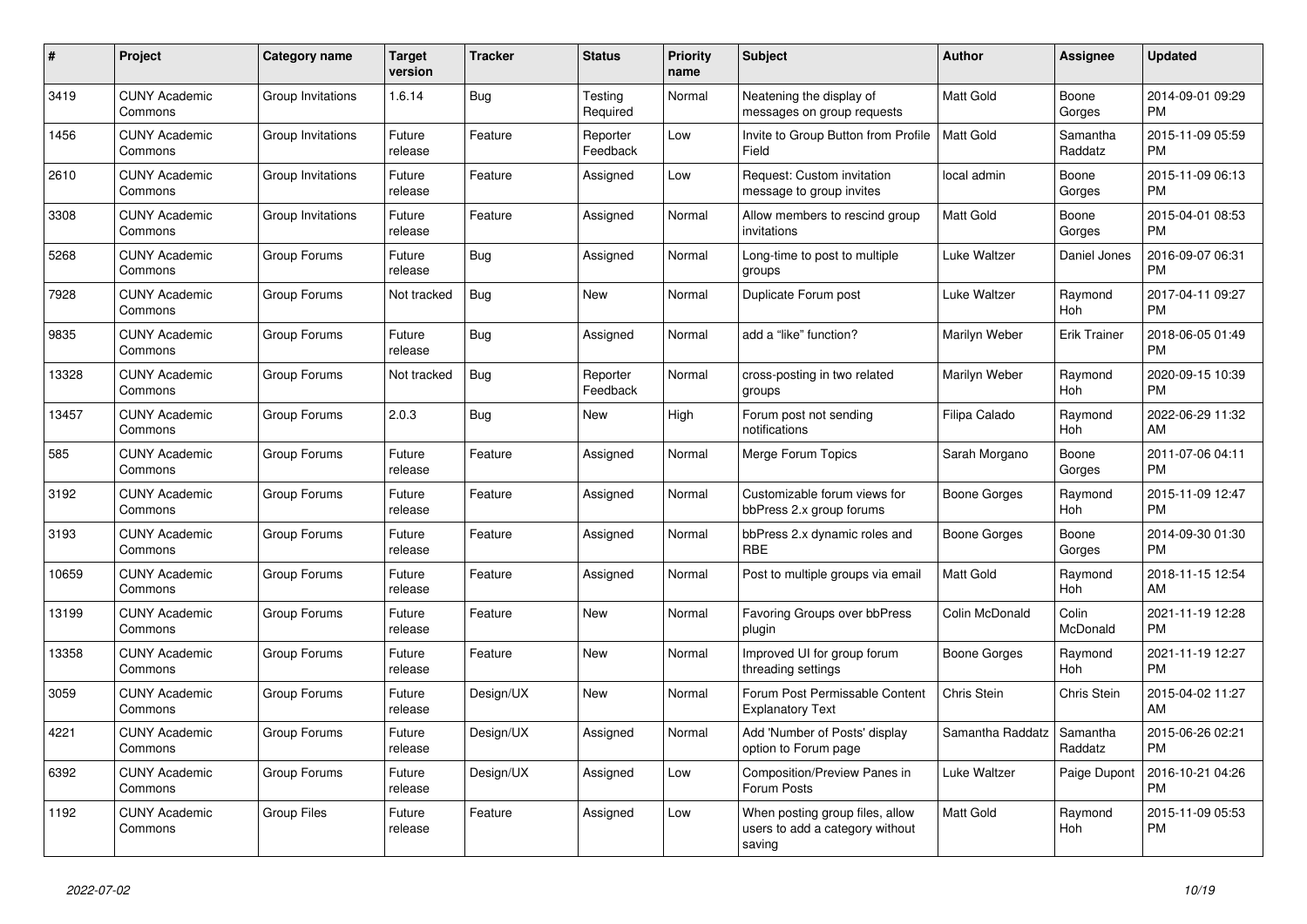| $\pmb{\#}$ | <b>Project</b>                  | Category name     | <b>Target</b><br>version | <b>Tracker</b> | <b>Status</b>        | <b>Priority</b><br>name | <b>Subject</b>                                                               | <b>Author</b>    | Assignee            | <b>Updated</b>                |
|------------|---------------------------------|-------------------|--------------------------|----------------|----------------------|-------------------------|------------------------------------------------------------------------------|------------------|---------------------|-------------------------------|
| 3419       | <b>CUNY Academic</b><br>Commons | Group Invitations | 1.6.14                   | <b>Bug</b>     | Testing<br>Required  | Normal                  | Neatening the display of<br>messages on group requests                       | <b>Matt Gold</b> | Boone<br>Gorges     | 2014-09-01 09:29<br><b>PM</b> |
| 1456       | <b>CUNY Academic</b><br>Commons | Group Invitations | Future<br>release        | Feature        | Reporter<br>Feedback | Low                     | Invite to Group Button from Profile<br>Field                                 | <b>Matt Gold</b> | Samantha<br>Raddatz | 2015-11-09 05:59<br><b>PM</b> |
| 2610       | <b>CUNY Academic</b><br>Commons | Group Invitations | Future<br>release        | Feature        | Assigned             | Low                     | Request: Custom invitation<br>message to group invites                       | local admin      | Boone<br>Gorges     | 2015-11-09 06:13<br><b>PM</b> |
| 3308       | <b>CUNY Academic</b><br>Commons | Group Invitations | Future<br>release        | Feature        | Assigned             | Normal                  | Allow members to rescind group<br>invitations                                | <b>Matt Gold</b> | Boone<br>Gorges     | 2015-04-01 08:53<br><b>PM</b> |
| 5268       | <b>CUNY Academic</b><br>Commons | Group Forums      | Future<br>release        | Bug            | Assigned             | Normal                  | Long-time to post to multiple<br>groups                                      | Luke Waltzer     | Daniel Jones        | 2016-09-07 06:31<br><b>PM</b> |
| 7928       | <b>CUNY Academic</b><br>Commons | Group Forums      | Not tracked              | Bug            | New                  | Normal                  | Duplicate Forum post                                                         | Luke Waltzer     | Raymond<br>Hoh      | 2017-04-11 09:27<br><b>PM</b> |
| 9835       | <b>CUNY Academic</b><br>Commons | Group Forums      | Future<br>release        | <b>Bug</b>     | Assigned             | Normal                  | add a "like" function?                                                       | Marilyn Weber    | <b>Erik Trainer</b> | 2018-06-05 01:49<br><b>PM</b> |
| 13328      | <b>CUNY Academic</b><br>Commons | Group Forums      | Not tracked              | Bug            | Reporter<br>Feedback | Normal                  | cross-posting in two related<br>groups                                       | Marilyn Weber    | Raymond<br>Hoh      | 2020-09-15 10:39<br><b>PM</b> |
| 13457      | <b>CUNY Academic</b><br>Commons | Group Forums      | 2.0.3                    | <b>Bug</b>     | New                  | High                    | Forum post not sending<br>notifications                                      | Filipa Calado    | Raymond<br>Hoh      | 2022-06-29 11:32<br>AM        |
| 585        | <b>CUNY Academic</b><br>Commons | Group Forums      | Future<br>release        | Feature        | Assigned             | Normal                  | Merge Forum Topics                                                           | Sarah Morgano    | Boone<br>Gorges     | 2011-07-06 04:11<br><b>PM</b> |
| 3192       | <b>CUNY Academic</b><br>Commons | Group Forums      | Future<br>release        | Feature        | Assigned             | Normal                  | Customizable forum views for<br>bbPress 2.x group forums                     | Boone Gorges     | Raymond<br>Hoh      | 2015-11-09 12:47<br><b>PM</b> |
| 3193       | <b>CUNY Academic</b><br>Commons | Group Forums      | Future<br>release        | Feature        | Assigned             | Normal                  | bbPress 2.x dynamic roles and<br><b>RBE</b>                                  | Boone Gorges     | Boone<br>Gorges     | 2014-09-30 01:30<br><b>PM</b> |
| 10659      | <b>CUNY Academic</b><br>Commons | Group Forums      | Future<br>release        | Feature        | Assigned             | Normal                  | Post to multiple groups via email                                            | Matt Gold        | Raymond<br>Hoh      | 2018-11-15 12:54<br>AM        |
| 13199      | <b>CUNY Academic</b><br>Commons | Group Forums      | Future<br>release        | Feature        | New                  | Normal                  | Favoring Groups over bbPress<br>plugin                                       | Colin McDonald   | Colin<br>McDonald   | 2021-11-19 12:28<br><b>PM</b> |
| 13358      | <b>CUNY Academic</b><br>Commons | Group Forums      | Future<br>release        | Feature        | <b>New</b>           | Normal                  | Improved UI for group forum<br>threading settings                            | Boone Gorges     | Raymond<br>Hoh      | 2021-11-19 12:27<br><b>PM</b> |
| 3059       | <b>CUNY Academic</b><br>Commons | Group Forums      | Future<br>release        | Design/UX      | <b>New</b>           | Normal                  | Forum Post Permissable Content<br><b>Explanatory Text</b>                    | Chris Stein      | Chris Stein         | 2015-04-02 11:27<br>AM        |
| 4221       | <b>CUNY Academic</b><br>Commons | Group Forums      | Future<br>release        | Design/UX      | Assigned             | Normal                  | Add 'Number of Posts' display<br>option to Forum page                        | Samantha Raddatz | Samantha<br>Raddatz | 2015-06-26 02:21<br><b>PM</b> |
| 6392       | <b>CUNY Academic</b><br>Commons | Group Forums      | Future<br>release        | Design/UX      | Assigned             | Low                     | Composition/Preview Panes in<br>Forum Posts                                  | Luke Waltzer     | Paige Dupont        | 2016-10-21 04:26<br><b>PM</b> |
| 1192       | <b>CUNY Academic</b><br>Commons | Group Files       | Future<br>release        | Feature        | Assigned             | Low                     | When posting group files, allow<br>users to add a category without<br>saving | Matt Gold        | Raymond<br>Hoh      | 2015-11-09 05:53<br><b>PM</b> |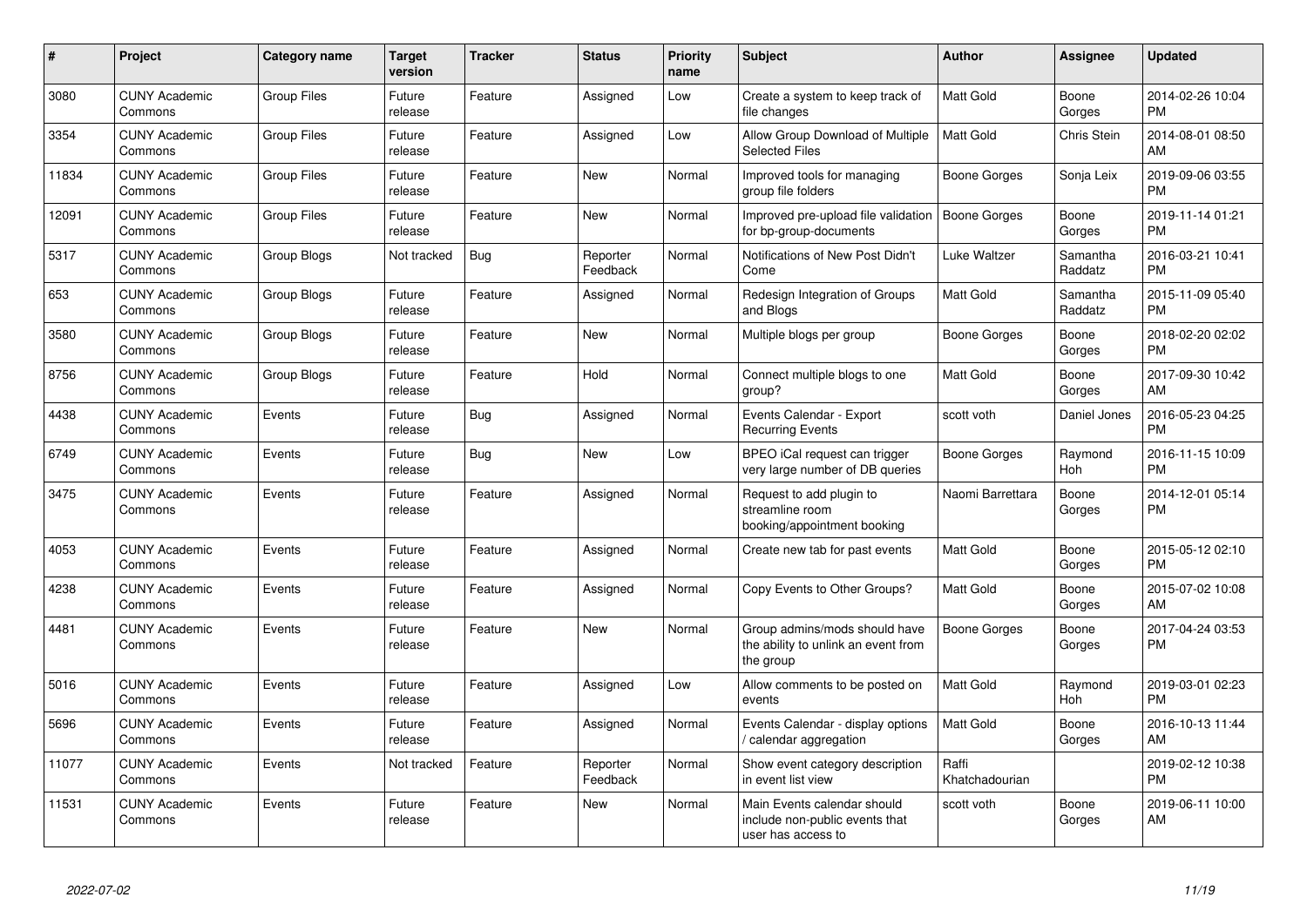| #     | Project                         | <b>Category name</b> | Target<br>version | <b>Tracker</b> | <b>Status</b>        | <b>Priority</b><br>name | <b>Subject</b>                                                                      | <b>Author</b>           | Assignee            | <b>Updated</b>                |
|-------|---------------------------------|----------------------|-------------------|----------------|----------------------|-------------------------|-------------------------------------------------------------------------------------|-------------------------|---------------------|-------------------------------|
| 3080  | <b>CUNY Academic</b><br>Commons | <b>Group Files</b>   | Future<br>release | Feature        | Assigned             | Low                     | Create a system to keep track of<br>file changes                                    | <b>Matt Gold</b>        | Boone<br>Gorges     | 2014-02-26 10:04<br><b>PM</b> |
| 3354  | <b>CUNY Academic</b><br>Commons | <b>Group Files</b>   | Future<br>release | Feature        | Assigned             | Low                     | Allow Group Download of Multiple<br><b>Selected Files</b>                           | <b>Matt Gold</b>        | Chris Stein         | 2014-08-01 08:50<br>AM        |
| 11834 | <b>CUNY Academic</b><br>Commons | <b>Group Files</b>   | Future<br>release | Feature        | New                  | Normal                  | Improved tools for managing<br>group file folders                                   | Boone Gorges            | Sonja Leix          | 2019-09-06 03:55<br><b>PM</b> |
| 12091 | <b>CUNY Academic</b><br>Commons | <b>Group Files</b>   | Future<br>release | Feature        | New                  | Normal                  | Improved pre-upload file validation<br>for bp-group-documents                       | Boone Gorges            | Boone<br>Gorges     | 2019-11-14 01:21<br><b>PM</b> |
| 5317  | <b>CUNY Academic</b><br>Commons | Group Blogs          | Not tracked       | Bug            | Reporter<br>Feedback | Normal                  | Notifications of New Post Didn't<br>Come                                            | Luke Waltzer            | Samantha<br>Raddatz | 2016-03-21 10:41<br>PM.       |
| 653   | <b>CUNY Academic</b><br>Commons | Group Blogs          | Future<br>release | Feature        | Assigned             | Normal                  | Redesign Integration of Groups<br>and Blogs                                         | <b>Matt Gold</b>        | Samantha<br>Raddatz | 2015-11-09 05:40<br><b>PM</b> |
| 3580  | <b>CUNY Academic</b><br>Commons | Group Blogs          | Future<br>release | Feature        | <b>New</b>           | Normal                  | Multiple blogs per group                                                            | Boone Gorges            | Boone<br>Gorges     | 2018-02-20 02:02<br><b>PM</b> |
| 8756  | <b>CUNY Academic</b><br>Commons | Group Blogs          | Future<br>release | Feature        | Hold                 | Normal                  | Connect multiple blogs to one<br>group?                                             | Matt Gold               | Boone<br>Gorges     | 2017-09-30 10:42<br>AM        |
| 4438  | <b>CUNY Academic</b><br>Commons | Events               | Future<br>release | Bug            | Assigned             | Normal                  | Events Calendar - Export<br><b>Recurring Events</b>                                 | scott voth              | Daniel Jones        | 2016-05-23 04:25<br><b>PM</b> |
| 6749  | <b>CUNY Academic</b><br>Commons | Events               | Future<br>release | <b>Bug</b>     | New                  | Low                     | BPEO iCal request can trigger<br>very large number of DB queries                    | Boone Gorges            | Raymond<br>Hoh      | 2016-11-15 10:09<br><b>PM</b> |
| 3475  | <b>CUNY Academic</b><br>Commons | Events               | Future<br>release | Feature        | Assigned             | Normal                  | Request to add plugin to<br>streamline room<br>booking/appointment booking          | Naomi Barrettara        | Boone<br>Gorges     | 2014-12-01 05:14<br><b>PM</b> |
| 4053  | <b>CUNY Academic</b><br>Commons | Events               | Future<br>release | Feature        | Assigned             | Normal                  | Create new tab for past events                                                      | Matt Gold               | Boone<br>Gorges     | 2015-05-12 02:10<br><b>PM</b> |
| 4238  | <b>CUNY Academic</b><br>Commons | Events               | Future<br>release | Feature        | Assigned             | Normal                  | Copy Events to Other Groups?                                                        | Matt Gold               | Boone<br>Gorges     | 2015-07-02 10:08<br>AM        |
| 4481  | <b>CUNY Academic</b><br>Commons | Events               | Future<br>release | Feature        | New                  | Normal                  | Group admins/mods should have<br>the ability to unlink an event from<br>the group   | Boone Gorges            | Boone<br>Gorges     | 2017-04-24 03:53<br><b>PM</b> |
| 5016  | <b>CUNY Academic</b><br>Commons | Events               | Future<br>release | Feature        | Assigned             | Low                     | Allow comments to be posted on<br>events                                            | Matt Gold               | Raymond<br>Hoh      | 2019-03-01 02:23<br>PM.       |
| 5696  | <b>CUNY Academic</b><br>Commons | Events               | Future<br>release | Feature        | Assigned             | Normal                  | Events Calendar - display options<br>calendar aggregation                           | <b>Matt Gold</b>        | Boone<br>Gorges     | 2016-10-13 11:44<br>AM        |
| 11077 | <b>CUNY Academic</b><br>Commons | Events               | Not tracked       | Feature        | Reporter<br>Feedback | Normal                  | Show event category description<br>in event list view                               | Raffi<br>Khatchadourian |                     | 2019-02-12 10:38<br><b>PM</b> |
| 11531 | <b>CUNY Academic</b><br>Commons | Events               | Future<br>release | Feature        | <b>New</b>           | Normal                  | Main Events calendar should<br>include non-public events that<br>user has access to | scott voth              | Boone<br>Gorges     | 2019-06-11 10:00<br>AM        |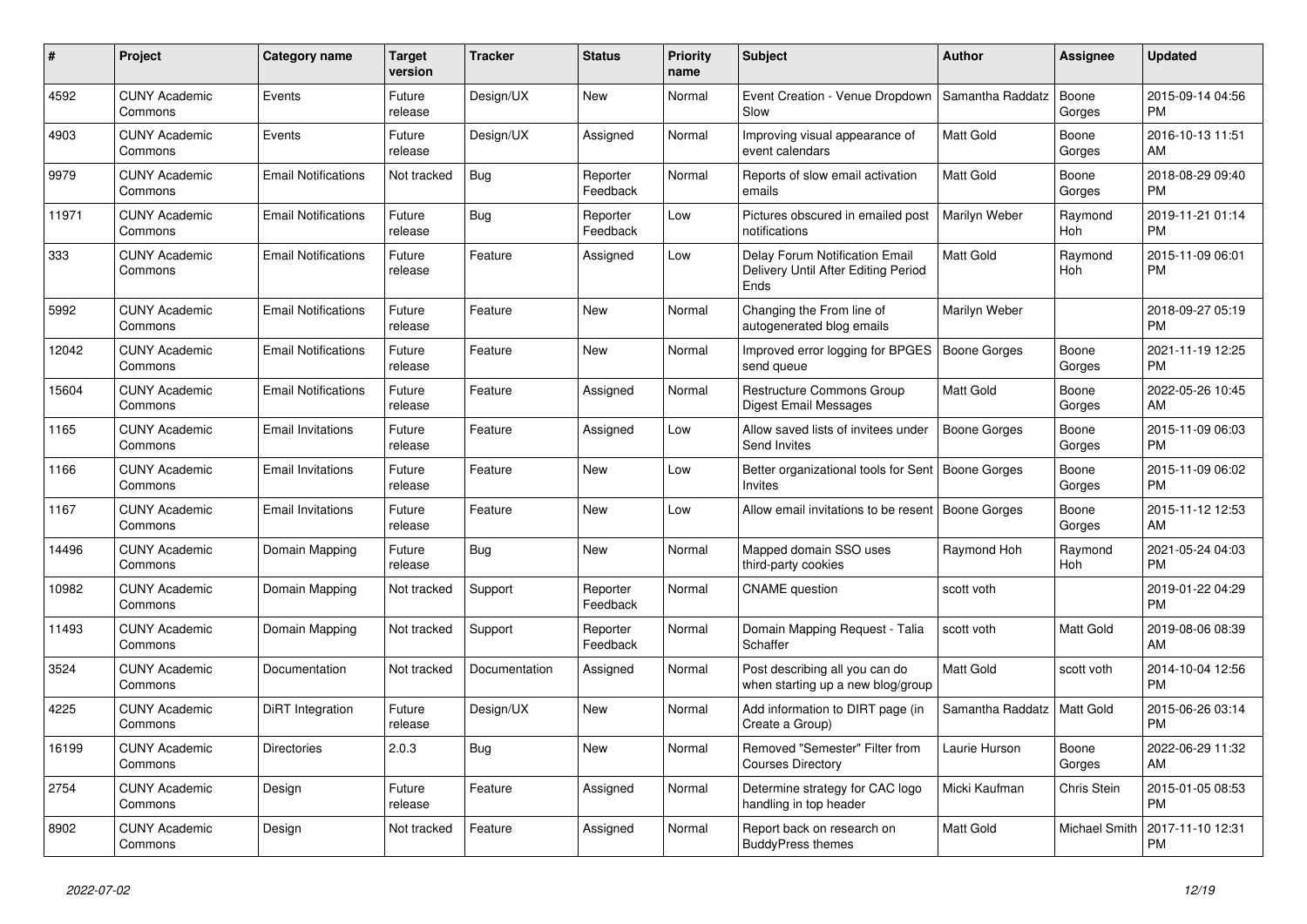| $\#$  | Project                         | <b>Category name</b>       | <b>Target</b><br>version | <b>Tracker</b> | <b>Status</b>        | <b>Priority</b><br>name | <b>Subject</b>                                                                | <b>Author</b>        | <b>Assignee</b> | <b>Updated</b>                |
|-------|---------------------------------|----------------------------|--------------------------|----------------|----------------------|-------------------------|-------------------------------------------------------------------------------|----------------------|-----------------|-------------------------------|
| 4592  | <b>CUNY Academic</b><br>Commons | Events                     | Future<br>release        | Design/UX      | New                  | Normal                  | Event Creation - Venue Dropdown<br>Slow                                       | Samantha Raddatz     | Boone<br>Gorges | 2015-09-14 04:56<br><b>PM</b> |
| 4903  | <b>CUNY Academic</b><br>Commons | Events                     | Future<br>release        | Design/UX      | Assigned             | Normal                  | Improving visual appearance of<br>event calendars                             | Matt Gold            | Boone<br>Gorges | 2016-10-13 11:51<br>AM        |
| 9979  | <b>CUNY Academic</b><br>Commons | <b>Email Notifications</b> | Not tracked              | <b>Bug</b>     | Reporter<br>Feedback | Normal                  | Reports of slow email activation<br>emails                                    | <b>Matt Gold</b>     | Boone<br>Gorges | 2018-08-29 09:40<br><b>PM</b> |
| 11971 | <b>CUNY Academic</b><br>Commons | <b>Email Notifications</b> | Future<br>release        | Bug            | Reporter<br>Feedback | Low                     | Pictures obscured in emailed post<br>notifications                            | <b>Marilyn Weber</b> | Raymond<br>Hoh  | 2019-11-21 01:14<br><b>PM</b> |
| 333   | <b>CUNY Academic</b><br>Commons | <b>Email Notifications</b> | Future<br>release        | Feature        | Assigned             | Low                     | Delay Forum Notification Email<br>Delivery Until After Editing Period<br>Ends | Matt Gold            | Raymond<br>Hoh  | 2015-11-09 06:01<br><b>PM</b> |
| 5992  | <b>CUNY Academic</b><br>Commons | <b>Email Notifications</b> | Future<br>release        | Feature        | <b>New</b>           | Normal                  | Changing the From line of<br>autogenerated blog emails                        | Marilyn Weber        |                 | 2018-09-27 05:19<br><b>PM</b> |
| 12042 | <b>CUNY Academic</b><br>Commons | <b>Email Notifications</b> | Future<br>release        | Feature        | <b>New</b>           | Normal                  | Improved error logging for BPGES<br>send queue                                | Boone Gorges         | Boone<br>Gorges | 2021-11-19 12:25<br><b>PM</b> |
| 15604 | <b>CUNY Academic</b><br>Commons | <b>Email Notifications</b> | Future<br>release        | Feature        | Assigned             | Normal                  | <b>Restructure Commons Group</b><br>Digest Email Messages                     | Matt Gold            | Boone<br>Gorges | 2022-05-26 10:45<br>AM        |
| 1165  | <b>CUNY Academic</b><br>Commons | <b>Email Invitations</b>   | Future<br>release        | Feature        | Assigned             | Low                     | Allow saved lists of invitees under<br>Send Invites                           | <b>Boone Gorges</b>  | Boone<br>Gorges | 2015-11-09 06:03<br><b>PM</b> |
| 1166  | <b>CUNY Academic</b><br>Commons | <b>Email Invitations</b>   | Future<br>release        | Feature        | <b>New</b>           | Low                     | Better organizational tools for Sent<br>Invites                               | Boone Gorges         | Boone<br>Gorges | 2015-11-09 06:02<br><b>PM</b> |
| 1167  | <b>CUNY Academic</b><br>Commons | <b>Email Invitations</b>   | Future<br>release        | Feature        | New                  | Low                     | Allow email invitations to be resent   Boone Gorges                           |                      | Boone<br>Gorges | 2015-11-12 12:53<br>AM        |
| 14496 | <b>CUNY Academic</b><br>Commons | Domain Mapping             | Future<br>release        | Bug            | <b>New</b>           | Normal                  | Mapped domain SSO uses<br>third-party cookies                                 | Raymond Hoh          | Raymond<br>Hoh  | 2021-05-24 04:03<br><b>PM</b> |
| 10982 | <b>CUNY Academic</b><br>Commons | Domain Mapping             | Not tracked              | Support        | Reporter<br>Feedback | Normal                  | <b>CNAME</b> question                                                         | scott voth           |                 | 2019-01-22 04:29<br><b>PM</b> |
| 11493 | <b>CUNY Academic</b><br>Commons | Domain Mapping             | Not tracked              | Support        | Reporter<br>Feedback | Normal                  | Domain Mapping Request - Talia<br>Schaffer                                    | scott voth           | Matt Gold       | 2019-08-06 08:39<br>AM        |
| 3524  | <b>CUNY Academic</b><br>Commons | Documentation              | Not tracked              | Documentation  | Assigned             | Normal                  | Post describing all you can do<br>when starting up a new blog/group           | <b>Matt Gold</b>     | scott voth      | 2014-10-04 12:56<br><b>PM</b> |
| 4225  | <b>CUNY Academic</b><br>Commons | DiRT Integration           | Future<br>release        | Design/UX      | New                  | Normal                  | Add information to DIRT page (in<br>Create a Group)                           | Samantha Raddatz     | Matt Gold       | 2015-06-26 03:14<br><b>PM</b> |
| 16199 | <b>CUNY Academic</b><br>Commons | <b>Directories</b>         | 2.0.3                    | Bug            | <b>New</b>           | Normal                  | Removed "Semester" Filter from<br><b>Courses Directory</b>                    | Laurie Hurson        | Boone<br>Gorges | 2022-06-29 11:32<br>AM        |
| 2754  | <b>CUNY Academic</b><br>Commons | Design                     | Future<br>release        | Feature        | Assigned             | Normal                  | Determine strategy for CAC logo<br>handling in top header                     | Micki Kaufman        | Chris Stein     | 2015-01-05 08:53<br><b>PM</b> |
| 8902  | <b>CUNY Academic</b><br>Commons | Design                     | Not tracked              | Feature        | Assigned             | Normal                  | Report back on research on<br><b>BuddyPress themes</b>                        | Matt Gold            | Michael Smith   | 2017-11-10 12:31<br><b>PM</b> |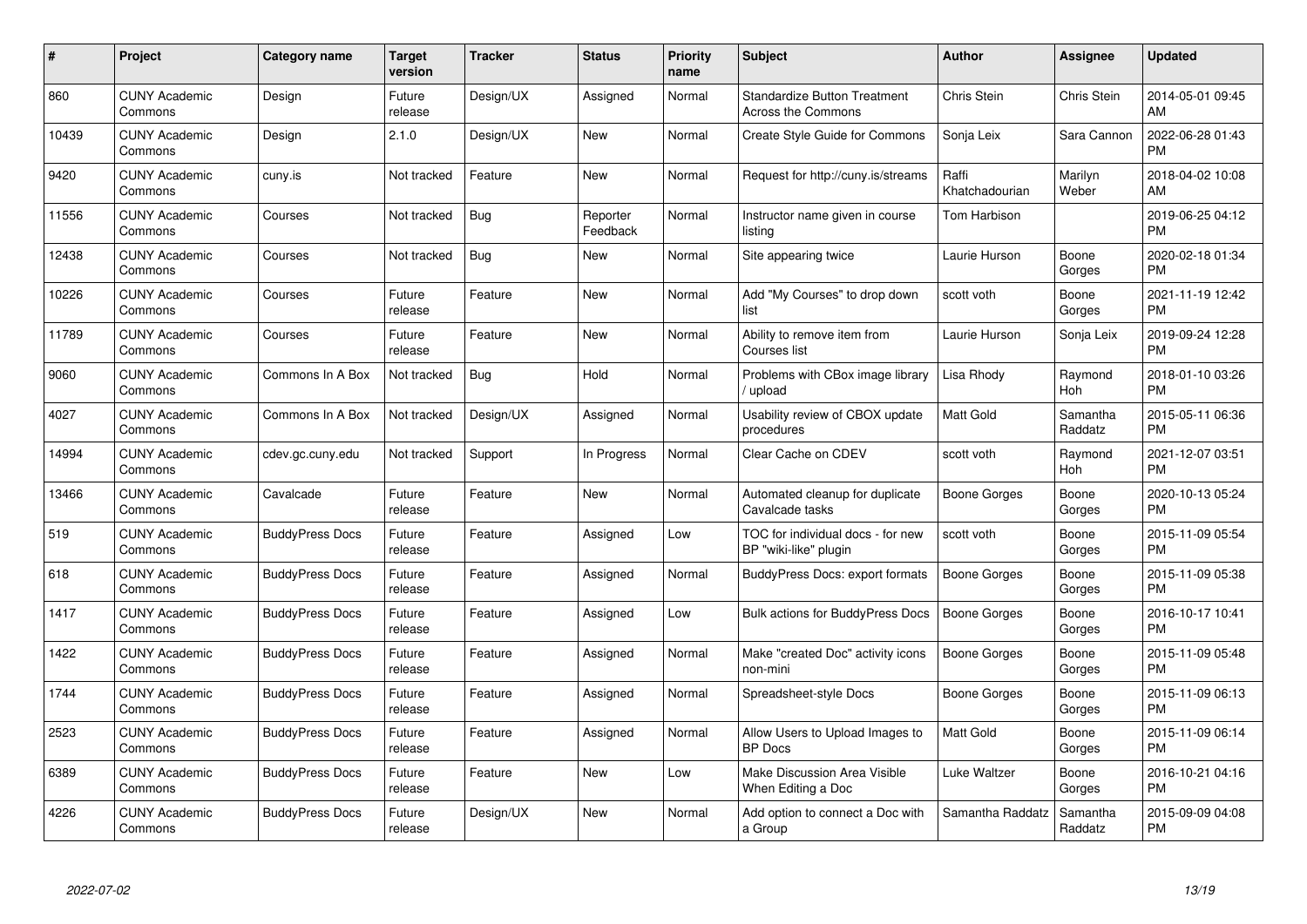| #     | Project                         | <b>Category name</b>   | <b>Target</b><br>version | <b>Tracker</b> | <b>Status</b>        | Priority<br>name | <b>Subject</b>                                             | <b>Author</b>           | Assignee            | <b>Updated</b>                |
|-------|---------------------------------|------------------------|--------------------------|----------------|----------------------|------------------|------------------------------------------------------------|-------------------------|---------------------|-------------------------------|
| 860   | <b>CUNY Academic</b><br>Commons | Design                 | Future<br>release        | Design/UX      | Assigned             | Normal           | <b>Standardize Button Treatment</b><br>Across the Commons  | Chris Stein             | Chris Stein         | 2014-05-01 09:45<br>AM        |
| 10439 | <b>CUNY Academic</b><br>Commons | Design                 | 2.1.0                    | Design/UX      | New                  | Normal           | Create Style Guide for Commons                             | Sonja Leix              | Sara Cannon         | 2022-06-28 01:43<br><b>PM</b> |
| 9420  | <b>CUNY Academic</b><br>Commons | cuny.is                | Not tracked              | Feature        | <b>New</b>           | Normal           | Request for http://cuny.is/streams                         | Raffi<br>Khatchadourian | Marilyn<br>Weber    | 2018-04-02 10:08<br>AM        |
| 11556 | <b>CUNY Academic</b><br>Commons | Courses                | Not tracked              | Bug            | Reporter<br>Feedback | Normal           | Instructor name given in course<br>listing                 | Tom Harbison            |                     | 2019-06-25 04:12<br><b>PM</b> |
| 12438 | <b>CUNY Academic</b><br>Commons | Courses                | Not tracked              | Bug            | New                  | Normal           | Site appearing twice                                       | Laurie Hurson           | Boone<br>Gorges     | 2020-02-18 01:34<br><b>PM</b> |
| 10226 | <b>CUNY Academic</b><br>Commons | Courses                | Future<br>release        | Feature        | <b>New</b>           | Normal           | Add "My Courses" to drop down<br>list                      | scott voth              | Boone<br>Gorges     | 2021-11-19 12:42<br>PM.       |
| 11789 | <b>CUNY Academic</b><br>Commons | Courses                | Future<br>release        | Feature        | New                  | Normal           | Ability to remove item from<br>Courses list                | Laurie Hurson           | Sonja Leix          | 2019-09-24 12:28<br><b>PM</b> |
| 9060  | <b>CUNY Academic</b><br>Commons | Commons In A Box       | Not tracked              | <b>Bug</b>     | Hold                 | Normal           | Problems with CBox image library<br>/ upload               | Lisa Rhody              | Raymond<br>Hoh      | 2018-01-10 03:26<br><b>PM</b> |
| 4027  | <b>CUNY Academic</b><br>Commons | Commons In A Box       | Not tracked              | Design/UX      | Assigned             | Normal           | Usability review of CBOX update<br>procedures              | <b>Matt Gold</b>        | Samantha<br>Raddatz | 2015-05-11 06:36<br><b>PM</b> |
| 14994 | <b>CUNY Academic</b><br>Commons | cdev.gc.cuny.edu       | Not tracked              | Support        | In Progress          | Normal           | Clear Cache on CDEV                                        | scott voth              | Raymond<br>Hoh      | 2021-12-07 03:51<br><b>PM</b> |
| 13466 | <b>CUNY Academic</b><br>Commons | Cavalcade              | Future<br>release        | Feature        | New                  | Normal           | Automated cleanup for duplicate<br>Cavalcade tasks         | Boone Gorges            | Boone<br>Gorges     | 2020-10-13 05:24<br><b>PM</b> |
| 519   | <b>CUNY Academic</b><br>Commons | <b>BuddyPress Docs</b> | Future<br>release        | Feature        | Assigned             | Low              | TOC for individual docs - for new<br>BP "wiki-like" plugin | scott voth              | Boone<br>Gorges     | 2015-11-09 05:54<br><b>PM</b> |
| 618   | <b>CUNY Academic</b><br>Commons | <b>BuddyPress Docs</b> | Future<br>release        | Feature        | Assigned             | Normal           | BuddyPress Docs: export formats                            | Boone Gorges            | Boone<br>Gorges     | 2015-11-09 05:38<br><b>PM</b> |
| 1417  | <b>CUNY Academic</b><br>Commons | <b>BuddyPress Docs</b> | Future<br>release        | Feature        | Assigned             | Low              | <b>Bulk actions for BuddyPress Docs</b>                    | <b>Boone Gorges</b>     | Boone<br>Gorges     | 2016-10-17 10:41<br><b>PM</b> |
| 1422  | <b>CUNY Academic</b><br>Commons | <b>BuddyPress Docs</b> | Future<br>release        | Feature        | Assigned             | Normal           | Make "created Doc" activity icons<br>non-mini              | Boone Gorges            | Boone<br>Gorges     | 2015-11-09 05:48<br><b>PM</b> |
| 1744  | <b>CUNY Academic</b><br>Commons | <b>BuddyPress Docs</b> | Future<br>release        | Feature        | Assigned             | Normal           | Spreadsheet-style Docs                                     | Boone Gorges            | Boone<br>Gorges     | 2015-11-09 06:13<br><b>PM</b> |
| 2523  | <b>CUNY Academic</b><br>Commons | <b>BuddyPress Docs</b> | Future<br>release        | Feature        | Assigned             | Normal           | Allow Users to Upload Images to<br><b>BP</b> Docs          | <b>Matt Gold</b>        | Boone<br>Gorges     | 2015-11-09 06:14<br><b>PM</b> |
| 6389  | <b>CUNY Academic</b><br>Commons | <b>BuddyPress Docs</b> | Future<br>release        | Feature        | New                  | Low              | Make Discussion Area Visible<br>When Editing a Doc         | Luke Waltzer            | Boone<br>Gorges     | 2016-10-21 04:16<br><b>PM</b> |
| 4226  | <b>CUNY Academic</b><br>Commons | <b>BuddyPress Docs</b> | Future<br>release        | Design/UX      | <b>New</b>           | Normal           | Add option to connect a Doc with<br>a Group                | Samantha Raddatz        | Samantha<br>Raddatz | 2015-09-09 04:08<br>PM        |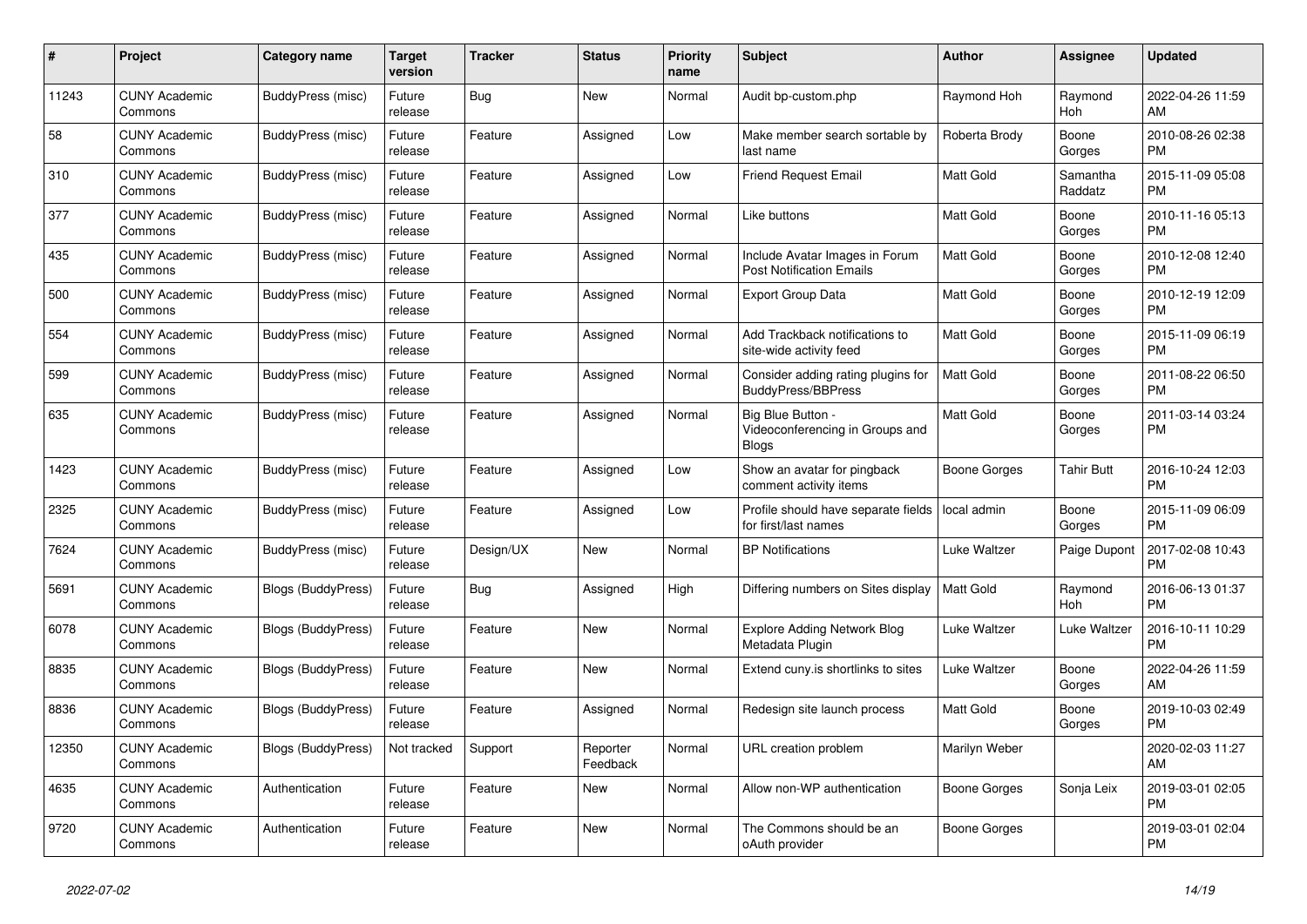| #     | Project                         | <b>Category name</b>      | Target<br>version | <b>Tracker</b> | <b>Status</b>        | <b>Priority</b><br>name | <b>Subject</b>                                                       | <b>Author</b>    | Assignee            | <b>Updated</b>                |
|-------|---------------------------------|---------------------------|-------------------|----------------|----------------------|-------------------------|----------------------------------------------------------------------|------------------|---------------------|-------------------------------|
| 11243 | <b>CUNY Academic</b><br>Commons | BuddyPress (misc)         | Future<br>release | Bug            | New                  | Normal                  | Audit bp-custom.php                                                  | Raymond Hoh      | Raymond<br>Hoh      | 2022-04-26 11:59<br>AM        |
| 58    | <b>CUNY Academic</b><br>Commons | BuddyPress (misc)         | Future<br>release | Feature        | Assigned             | Low                     | Make member search sortable by<br>last name                          | Roberta Brody    | Boone<br>Gorges     | 2010-08-26 02:38<br><b>PM</b> |
| 310   | <b>CUNY Academic</b><br>Commons | BuddyPress (misc)         | Future<br>release | Feature        | Assigned             | Low                     | <b>Friend Request Email</b>                                          | Matt Gold        | Samantha<br>Raddatz | 2015-11-09 05:08<br><b>PM</b> |
| 377   | <b>CUNY Academic</b><br>Commons | BuddyPress (misc)         | Future<br>release | Feature        | Assigned             | Normal                  | Like buttons                                                         | Matt Gold        | Boone<br>Gorges     | 2010-11-16 05:13<br><b>PM</b> |
| 435   | <b>CUNY Academic</b><br>Commons | BuddyPress (misc)         | Future<br>release | Feature        | Assigned             | Normal                  | Include Avatar Images in Forum<br><b>Post Notification Emails</b>    | <b>Matt Gold</b> | Boone<br>Gorges     | 2010-12-08 12:40<br><b>PM</b> |
| 500   | <b>CUNY Academic</b><br>Commons | BuddyPress (misc)         | Future<br>release | Feature        | Assigned             | Normal                  | <b>Export Group Data</b>                                             | Matt Gold        | Boone<br>Gorges     | 2010-12-19 12:09<br><b>PM</b> |
| 554   | <b>CUNY Academic</b><br>Commons | BuddyPress (misc)         | Future<br>release | Feature        | Assigned             | Normal                  | Add Trackback notifications to<br>site-wide activity feed            | <b>Matt Gold</b> | Boone<br>Gorges     | 2015-11-09 06:19<br><b>PM</b> |
| 599   | <b>CUNY Academic</b><br>Commons | BuddyPress (misc)         | Future<br>release | Feature        | Assigned             | Normal                  | Consider adding rating plugins for<br><b>BuddyPress/BBPress</b>      | <b>Matt Gold</b> | Boone<br>Gorges     | 2011-08-22 06:50<br><b>PM</b> |
| 635   | <b>CUNY Academic</b><br>Commons | BuddyPress (misc)         | Future<br>release | Feature        | Assigned             | Normal                  | Big Blue Button -<br>Videoconferencing in Groups and<br><b>Blogs</b> | Matt Gold        | Boone<br>Gorges     | 2011-03-14 03:24<br><b>PM</b> |
| 1423  | <b>CUNY Academic</b><br>Commons | BuddyPress (misc)         | Future<br>release | Feature        | Assigned             | Low                     | Show an avatar for pingback<br>comment activity items                | Boone Gorges     | <b>Tahir Butt</b>   | 2016-10-24 12:03<br><b>PM</b> |
| 2325  | <b>CUNY Academic</b><br>Commons | BuddyPress (misc)         | Future<br>release | Feature        | Assigned             | Low                     | Profile should have separate fields<br>for first/last names          | local admin      | Boone<br>Gorges     | 2015-11-09 06:09<br><b>PM</b> |
| 7624  | <b>CUNY Academic</b><br>Commons | BuddyPress (misc)         | Future<br>release | Design/UX      | New                  | Normal                  | <b>BP</b> Notifications                                              | Luke Waltzer     | Paige Dupont        | 2017-02-08 10:43<br><b>PM</b> |
| 5691  | <b>CUNY Academic</b><br>Commons | <b>Blogs (BuddyPress)</b> | Future<br>release | Bug            | Assigned             | High                    | Differing numbers on Sites display                                   | <b>Matt Gold</b> | Raymond<br>Hoh      | 2016-06-13 01:37<br><b>PM</b> |
| 6078  | <b>CUNY Academic</b><br>Commons | Blogs (BuddyPress)        | Future<br>release | Feature        | New                  | Normal                  | Explore Adding Network Blog<br>Metadata Plugin                       | Luke Waltzer     | Luke Waltzer        | 2016-10-11 10:29<br><b>PM</b> |
| 8835  | <b>CUNY Academic</b><br>Commons | <b>Blogs (BuddyPress)</b> | Future<br>release | Feature        | New                  | Normal                  | Extend cuny.is shortlinks to sites                                   | Luke Waltzer     | Boone<br>Gorges     | 2022-04-26 11:59<br>AM        |
| 8836  | <b>CUNY Academic</b><br>Commons | <b>Blogs (BuddyPress)</b> | Future<br>release | Feature        | Assigned             | Normal                  | Redesign site launch process                                         | Matt Gold        | Boone<br>Gorges     | 2019-10-03 02:49<br><b>PM</b> |
| 12350 | <b>CUNY Academic</b><br>Commons | Blogs (BuddyPress)        | Not tracked       | Support        | Reporter<br>Feedback | Normal                  | URL creation problem                                                 | Marilyn Weber    |                     | 2020-02-03 11:27<br>AM        |
| 4635  | <b>CUNY Academic</b><br>Commons | Authentication            | Future<br>release | Feature        | New                  | Normal                  | Allow non-WP authentication                                          | Boone Gorges     | Sonja Leix          | 2019-03-01 02:05<br><b>PM</b> |
| 9720  | <b>CUNY Academic</b><br>Commons | Authentication            | Future<br>release | Feature        | <b>New</b>           | Normal                  | The Commons should be an<br>oAuth provider                           | Boone Gorges     |                     | 2019-03-01 02:04<br><b>PM</b> |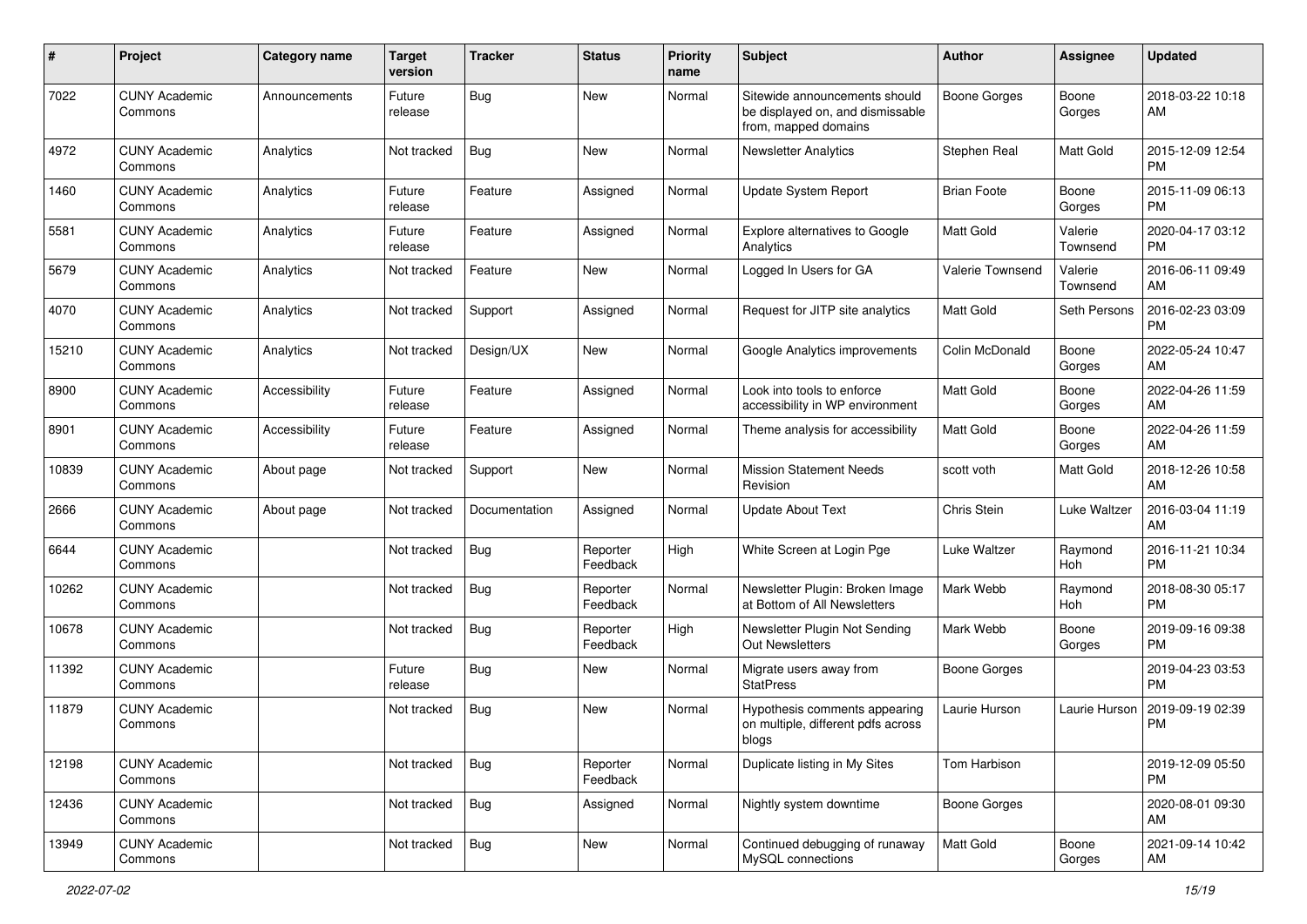| #     | Project                         | <b>Category name</b> | <b>Target</b><br>version | <b>Tracker</b> | <b>Status</b>        | Priority<br>name | <b>Subject</b>                                                                            | Author              | <b>Assignee</b>     | <b>Updated</b>                |
|-------|---------------------------------|----------------------|--------------------------|----------------|----------------------|------------------|-------------------------------------------------------------------------------------------|---------------------|---------------------|-------------------------------|
| 7022  | <b>CUNY Academic</b><br>Commons | Announcements        | Future<br>release        | <b>Bug</b>     | New                  | Normal           | Sitewide announcements should<br>be displayed on, and dismissable<br>from, mapped domains | <b>Boone Gorges</b> | Boone<br>Gorges     | 2018-03-22 10:18<br>AM.       |
| 4972  | <b>CUNY Academic</b><br>Commons | Analytics            | Not tracked              | Bug            | <b>New</b>           | Normal           | Newsletter Analytics                                                                      | Stephen Real        | Matt Gold           | 2015-12-09 12:54<br><b>PM</b> |
| 1460  | <b>CUNY Academic</b><br>Commons | Analytics            | Future<br>release        | Feature        | Assigned             | Normal           | Update System Report                                                                      | <b>Brian Foote</b>  | Boone<br>Gorges     | 2015-11-09 06:13<br><b>PM</b> |
| 5581  | <b>CUNY Academic</b><br>Commons | Analytics            | Future<br>release        | Feature        | Assigned             | Normal           | <b>Explore alternatives to Google</b><br>Analytics                                        | Matt Gold           | Valerie<br>Townsend | 2020-04-17 03:12<br>PM.       |
| 5679  | <b>CUNY Academic</b><br>Commons | Analytics            | Not tracked              | Feature        | New                  | Normal           | Logged In Users for GA                                                                    | Valerie Townsend    | Valerie<br>Townsend | 2016-06-11 09:49<br>AM        |
| 4070  | <b>CUNY Academic</b><br>Commons | Analytics            | Not tracked              | Support        | Assigned             | Normal           | Request for JITP site analytics                                                           | <b>Matt Gold</b>    | Seth Persons        | 2016-02-23 03:09<br><b>PM</b> |
| 15210 | <b>CUNY Academic</b><br>Commons | Analytics            | Not tracked              | Design/UX      | New                  | Normal           | Google Analytics improvements                                                             | Colin McDonald      | Boone<br>Gorges     | 2022-05-24 10:47<br>AM        |
| 8900  | <b>CUNY Academic</b><br>Commons | Accessibility        | Future<br>release        | Feature        | Assigned             | Normal           | Look into tools to enforce<br>accessibility in WP environment                             | Matt Gold           | Boone<br>Gorges     | 2022-04-26 11:59<br>AM        |
| 8901  | <b>CUNY Academic</b><br>Commons | Accessibility        | Future<br>release        | Feature        | Assigned             | Normal           | Theme analysis for accessibility                                                          | <b>Matt Gold</b>    | Boone<br>Gorges     | 2022-04-26 11:59<br>AM.       |
| 10839 | <b>CUNY Academic</b><br>Commons | About page           | Not tracked              | Support        | New                  | Normal           | <b>Mission Statement Needs</b><br>Revision                                                | scott voth          | Matt Gold           | 2018-12-26 10:58<br>AM        |
| 2666  | <b>CUNY Academic</b><br>Commons | About page           | Not tracked              | Documentation  | Assigned             | Normal           | <b>Update About Text</b>                                                                  | Chris Stein         | Luke Waltzer        | 2016-03-04 11:19<br>AM        |
| 6644  | <b>CUNY Academic</b><br>Commons |                      | Not tracked              | Bug            | Reporter<br>Feedback | High             | White Screen at Login Pge                                                                 | Luke Waltzer        | Raymond<br>Hoh      | 2016-11-21 10:34<br><b>PM</b> |
| 10262 | <b>CUNY Academic</b><br>Commons |                      | Not tracked              | Bug            | Reporter<br>Feedback | Normal           | Newsletter Plugin: Broken Image<br>at Bottom of All Newsletters                           | Mark Webb           | Raymond<br>Hoh      | 2018-08-30 05:17<br><b>PM</b> |
| 10678 | <b>CUNY Academic</b><br>Commons |                      | Not tracked              | Bug            | Reporter<br>Feedback | High             | Newsletter Plugin Not Sending<br><b>Out Newsletters</b>                                   | Mark Webb           | Boone<br>Gorges     | 2019-09-16 09:38<br><b>PM</b> |
| 11392 | <b>CUNY Academic</b><br>Commons |                      | Future<br>release        | <b>Bug</b>     | New                  | Normal           | Migrate users away from<br><b>StatPress</b>                                               | Boone Gorges        |                     | 2019-04-23 03:53<br><b>PM</b> |
| 11879 | <b>CUNY Academic</b><br>Commons |                      | Not tracked              | Bug            | New                  | Normal           | Hypothesis comments appearing<br>on multiple, different pdfs across<br>blogs              | Laurie Hurson       | Laurie Hurson       | 2019-09-19 02:39<br><b>PM</b> |
| 12198 | <b>CUNY Academic</b><br>Commons |                      | Not tracked              | <b>Bug</b>     | Reporter<br>Feedback | Normal           | Duplicate listing in My Sites                                                             | Tom Harbison        |                     | 2019-12-09 05:50<br>PM.       |
| 12436 | <b>CUNY Academic</b><br>Commons |                      | Not tracked              | Bug            | Assigned             | Normal           | Nightly system downtime                                                                   | Boone Gorges        |                     | 2020-08-01 09:30<br>AM        |
| 13949 | <b>CUNY Academic</b><br>Commons |                      | Not tracked              | Bug            | New                  | Normal           | Continued debugging of runaway<br>MySQL connections                                       | Matt Gold           | Boone<br>Gorges     | 2021-09-14 10:42<br>AM        |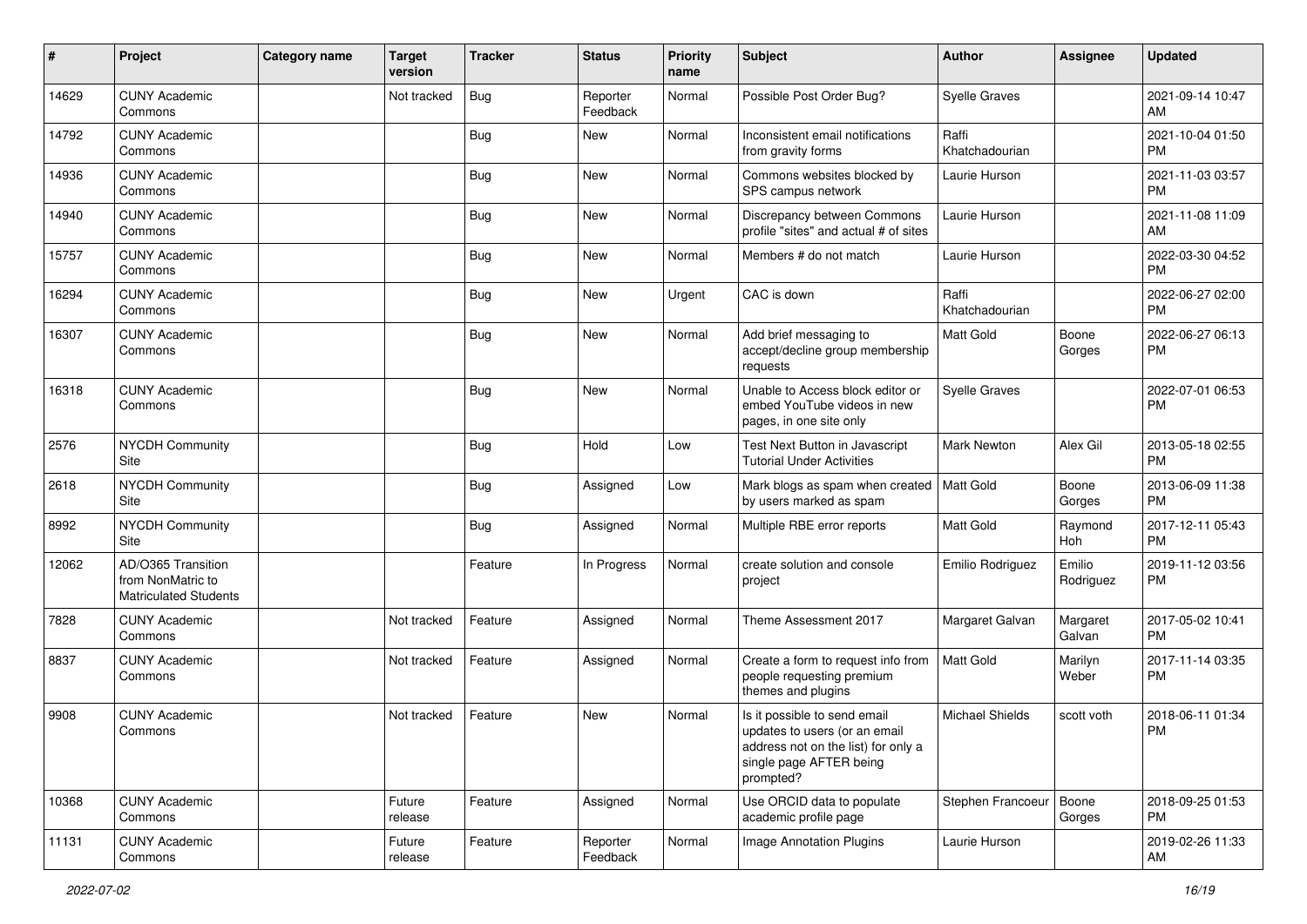| $\#$  | Project                                                                 | <b>Category name</b> | <b>Target</b><br>version | <b>Tracker</b> | <b>Status</b>        | <b>Priority</b><br>name | Subject                                                                                                                                      | <b>Author</b>           | Assignee            | <b>Updated</b>                |
|-------|-------------------------------------------------------------------------|----------------------|--------------------------|----------------|----------------------|-------------------------|----------------------------------------------------------------------------------------------------------------------------------------------|-------------------------|---------------------|-------------------------------|
| 14629 | <b>CUNY Academic</b><br>Commons                                         |                      | Not tracked              | <b>Bug</b>     | Reporter<br>Feedback | Normal                  | Possible Post Order Bug?                                                                                                                     | <b>Syelle Graves</b>    |                     | 2021-09-14 10:47<br>AM        |
| 14792 | <b>CUNY Academic</b><br>Commons                                         |                      |                          | Bug            | New                  | Normal                  | Inconsistent email notifications<br>from gravity forms                                                                                       | Raffi<br>Khatchadourian |                     | 2021-10-04 01:50<br><b>PM</b> |
| 14936 | <b>CUNY Academic</b><br>Commons                                         |                      |                          | Bug            | <b>New</b>           | Normal                  | Commons websites blocked by<br>SPS campus network                                                                                            | Laurie Hurson           |                     | 2021-11-03 03:57<br><b>PM</b> |
| 14940 | <b>CUNY Academic</b><br>Commons                                         |                      |                          | Bug            | <b>New</b>           | Normal                  | Discrepancy between Commons<br>profile "sites" and actual # of sites                                                                         | Laurie Hurson           |                     | 2021-11-08 11:09<br>AM        |
| 15757 | <b>CUNY Academic</b><br>Commons                                         |                      |                          | <b>Bug</b>     | <b>New</b>           | Normal                  | Members # do not match                                                                                                                       | Laurie Hurson           |                     | 2022-03-30 04:52<br><b>PM</b> |
| 16294 | <b>CUNY Academic</b><br>Commons                                         |                      |                          | Bug            | New                  | Urgent                  | CAC is down                                                                                                                                  | Raffi<br>Khatchadourian |                     | 2022-06-27 02:00<br><b>PM</b> |
| 16307 | <b>CUNY Academic</b><br>Commons                                         |                      |                          | <b>Bug</b>     | <b>New</b>           | Normal                  | Add brief messaging to<br>accept/decline group membership<br>requests                                                                        | <b>Matt Gold</b>        | Boone<br>Gorges     | 2022-06-27 06:13<br><b>PM</b> |
| 16318 | <b>CUNY Academic</b><br>Commons                                         |                      |                          | <b>Bug</b>     | <b>New</b>           | Normal                  | Unable to Access block editor or<br>embed YouTube videos in new<br>pages, in one site only                                                   | <b>Syelle Graves</b>    |                     | 2022-07-01 06:53<br><b>PM</b> |
| 2576  | NYCDH Community<br>Site                                                 |                      |                          | <b>Bug</b>     | Hold                 | Low                     | Test Next Button in Javascript<br><b>Tutorial Under Activities</b>                                                                           | Mark Newton             | Alex Gil            | 2013-05-18 02:55<br><b>PM</b> |
| 2618  | NYCDH Community<br>Site                                                 |                      |                          | Bug            | Assigned             | Low                     | Mark blogs as spam when created<br>by users marked as spam                                                                                   | Matt Gold               | Boone<br>Gorges     | 2013-06-09 11:38<br><b>PM</b> |
| 8992  | NYCDH Community<br>Site                                                 |                      |                          | <b>Bug</b>     | Assigned             | Normal                  | Multiple RBE error reports                                                                                                                   | Matt Gold               | Raymond<br>Hoh      | 2017-12-11 05:43<br><b>PM</b> |
| 12062 | AD/O365 Transition<br>from NonMatric to<br><b>Matriculated Students</b> |                      |                          | Feature        | In Progress          | Normal                  | create solution and console<br>project                                                                                                       | Emilio Rodriguez        | Emilio<br>Rodriguez | 2019-11-12 03:56<br><b>PM</b> |
| 7828  | <b>CUNY Academic</b><br>Commons                                         |                      | Not tracked              | Feature        | Assigned             | Normal                  | Theme Assessment 2017                                                                                                                        | Margaret Galvan         | Margaret<br>Galvan  | 2017-05-02 10:41<br><b>PM</b> |
| 8837  | <b>CUNY Academic</b><br>Commons                                         |                      | Not tracked              | Feature        | Assigned             | Normal                  | Create a form to request info from<br>people requesting premium<br>themes and plugins                                                        | <b>Matt Gold</b>        | Marilyn<br>Weber    | 2017-11-14 03:35<br><b>PM</b> |
| 9908  | <b>CUNY Academic</b><br>Commons                                         |                      | Not tracked              | Feature        | <b>New</b>           | Normal                  | Is it possible to send email<br>updates to users (or an email<br>address not on the list) for only a<br>single page AFTER being<br>prompted? | <b>Michael Shields</b>  | scott voth          | 2018-06-11 01:34<br><b>PM</b> |
| 10368 | <b>CUNY Academic</b><br>Commons                                         |                      | Future<br>release        | Feature        | Assigned             | Normal                  | Use ORCID data to populate<br>academic profile page                                                                                          | Stephen Francoeur       | Boone<br>Gorges     | 2018-09-25 01:53<br>PM        |
| 11131 | <b>CUNY Academic</b><br>Commons                                         |                      | Future<br>release        | Feature        | Reporter<br>Feedback | Normal                  | Image Annotation Plugins                                                                                                                     | Laurie Hurson           |                     | 2019-02-26 11:33<br>AM        |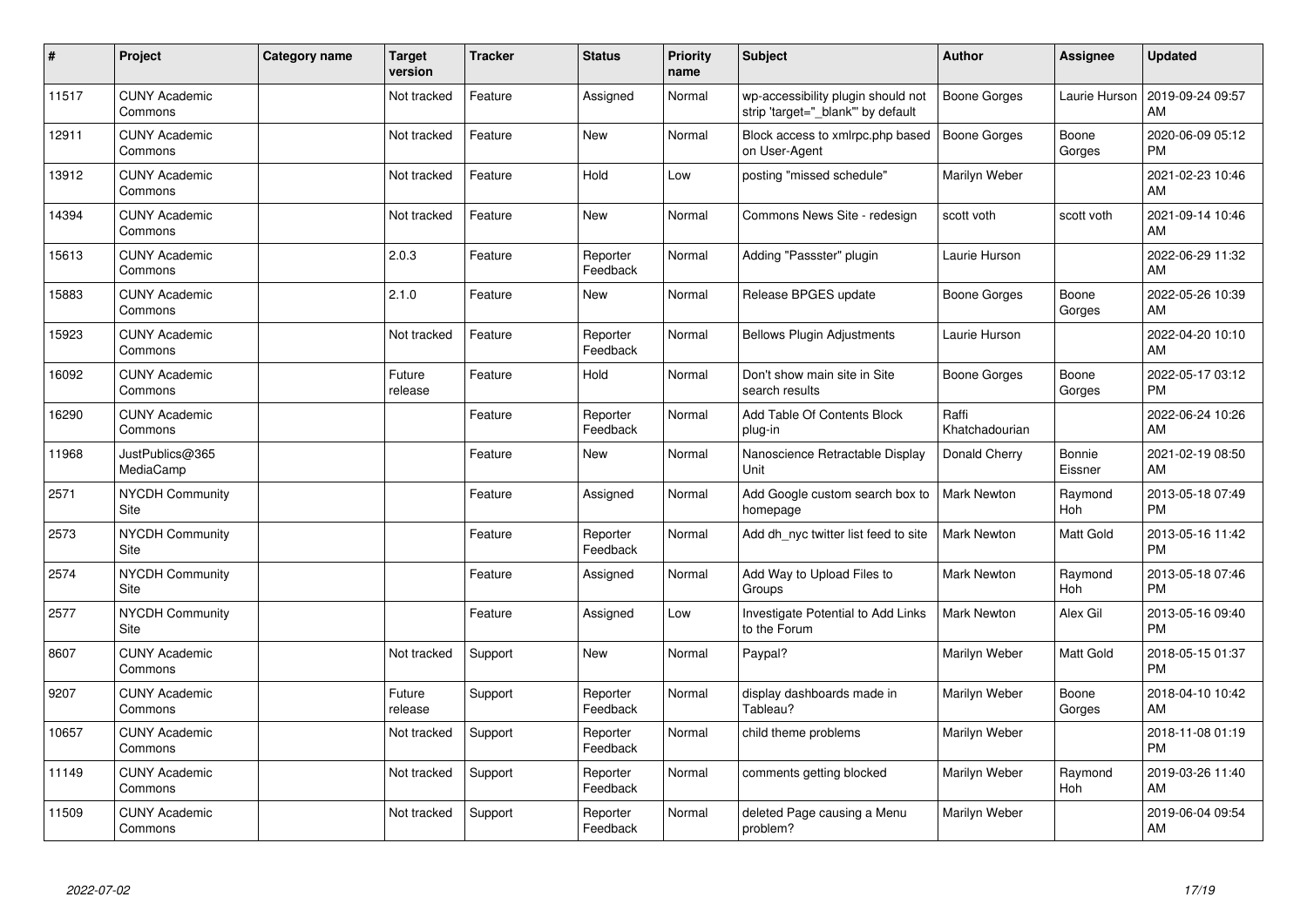| #     | Project                         | Category name | <b>Target</b><br>version | <b>Tracker</b> | <b>Status</b>        | <b>Priority</b><br>name | <b>Subject</b>                                                          | <b>Author</b>           | Assignee                 | <b>Updated</b>                |
|-------|---------------------------------|---------------|--------------------------|----------------|----------------------|-------------------------|-------------------------------------------------------------------------|-------------------------|--------------------------|-------------------------------|
| 11517 | <b>CUNY Academic</b><br>Commons |               | Not tracked              | Feature        | Assigned             | Normal                  | wp-accessibility plugin should not<br>strip 'target="_blank" by default | Boone Gorges            | Laurie Hurson            | 2019-09-24 09:57<br>AM        |
| 12911 | <b>CUNY Academic</b><br>Commons |               | Not tracked              | Feature        | <b>New</b>           | Normal                  | Block access to xmlrpc.php based<br>on User-Agent                       | <b>Boone Gorges</b>     | Boone<br>Gorges          | 2020-06-09 05:12<br><b>PM</b> |
| 13912 | <b>CUNY Academic</b><br>Commons |               | Not tracked              | Feature        | Hold                 | Low                     | posting "missed schedule"                                               | Marilyn Weber           |                          | 2021-02-23 10:46<br>AM        |
| 14394 | <b>CUNY Academic</b><br>Commons |               | Not tracked              | Feature        | <b>New</b>           | Normal                  | Commons News Site - redesign                                            | scott voth              | scott voth               | 2021-09-14 10:46<br>AM        |
| 15613 | <b>CUNY Academic</b><br>Commons |               | 2.0.3                    | Feature        | Reporter<br>Feedback | Normal                  | Adding "Passster" plugin                                                | Laurie Hurson           |                          | 2022-06-29 11:32<br>AM        |
| 15883 | <b>CUNY Academic</b><br>Commons |               | 2.1.0                    | Feature        | <b>New</b>           | Normal                  | Release BPGES update                                                    | Boone Gorges            | Boone<br>Gorges          | 2022-05-26 10:39<br>AM        |
| 15923 | <b>CUNY Academic</b><br>Commons |               | Not tracked              | Feature        | Reporter<br>Feedback | Normal                  | <b>Bellows Plugin Adjustments</b>                                       | Laurie Hurson           |                          | 2022-04-20 10:10<br>AM        |
| 16092 | <b>CUNY Academic</b><br>Commons |               | Future<br>release        | Feature        | Hold                 | Normal                  | Don't show main site in Site<br>search results                          | Boone Gorges            | Boone<br>Gorges          | 2022-05-17 03:12<br><b>PM</b> |
| 16290 | <b>CUNY Academic</b><br>Commons |               |                          | Feature        | Reporter<br>Feedback | Normal                  | Add Table Of Contents Block<br>plug-in                                  | Raffi<br>Khatchadourian |                          | 2022-06-24 10:26<br>AM        |
| 11968 | JustPublics@365<br>MediaCamp    |               |                          | Feature        | <b>New</b>           | Normal                  | Nanoscience Retractable Display<br>Unit                                 | Donald Cherry           | <b>Bonnie</b><br>Eissner | 2021-02-19 08:50<br>AM        |
| 2571  | NYCDH Community<br>Site         |               |                          | Feature        | Assigned             | Normal                  | Add Google custom search box to<br>homepage                             | <b>Mark Newton</b>      | Raymond<br>Hoh           | 2013-05-18 07:49<br><b>PM</b> |
| 2573  | <b>NYCDH Community</b><br>Site  |               |                          | Feature        | Reporter<br>Feedback | Normal                  | Add dh nyc twitter list feed to site                                    | <b>Mark Newton</b>      | Matt Gold                | 2013-05-16 11:42<br><b>PM</b> |
| 2574  | <b>NYCDH Community</b><br>Site  |               |                          | Feature        | Assigned             | Normal                  | Add Way to Upload Files to<br>Groups                                    | <b>Mark Newton</b>      | Raymond<br>Hoh           | 2013-05-18 07:46<br><b>PM</b> |
| 2577  | <b>NYCDH Community</b><br>Site  |               |                          | Feature        | Assigned             | Low                     | Investigate Potential to Add Links<br>to the Forum                      | <b>Mark Newton</b>      | Alex Gil                 | 2013-05-16 09:40<br><b>PM</b> |
| 8607  | <b>CUNY Academic</b><br>Commons |               | Not tracked              | Support        | <b>New</b>           | Normal                  | Paypal?                                                                 | Marilyn Weber           | Matt Gold                | 2018-05-15 01:37<br><b>PM</b> |
| 9207  | <b>CUNY Academic</b><br>Commons |               | Future<br>release        | Support        | Reporter<br>Feedback | Normal                  | display dashboards made in<br>Tableau?                                  | Marilyn Weber           | Boone<br>Gorges          | 2018-04-10 10:42<br>AM        |
| 10657 | <b>CUNY Academic</b><br>Commons |               | Not tracked              | Support        | Reporter<br>Feedback | Normal                  | child theme problems                                                    | Marilyn Weber           |                          | 2018-11-08 01:19<br><b>PM</b> |
| 11149 | <b>CUNY Academic</b><br>Commons |               | Not tracked              | Support        | Reporter<br>Feedback | Normal                  | comments getting blocked                                                | Marilyn Weber           | Raymond<br>Hoh           | 2019-03-26 11:40<br>AM        |
| 11509 | <b>CUNY Academic</b><br>Commons |               | Not tracked              | Support        | Reporter<br>Feedback | Normal                  | deleted Page causing a Menu<br>problem?                                 | Marilyn Weber           |                          | 2019-06-04 09:54<br>AM        |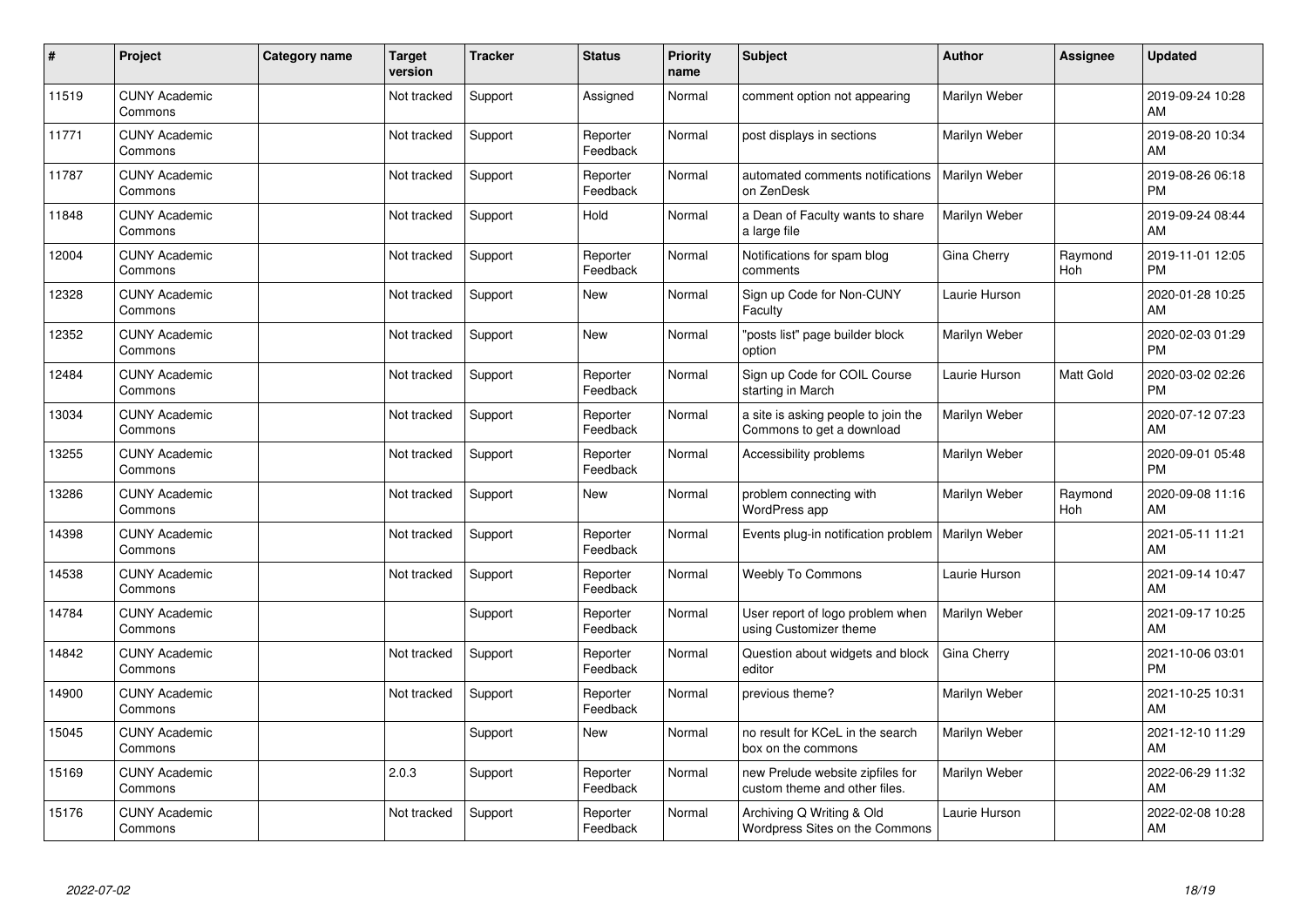| #     | Project                         | Category name | <b>Target</b><br>version | <b>Tracker</b> | <b>Status</b>        | <b>Priority</b><br>name | <b>Subject</b>                                                    | <b>Author</b> | <b>Assignee</b> | <b>Updated</b>                |
|-------|---------------------------------|---------------|--------------------------|----------------|----------------------|-------------------------|-------------------------------------------------------------------|---------------|-----------------|-------------------------------|
| 11519 | <b>CUNY Academic</b><br>Commons |               | Not tracked              | Support        | Assigned             | Normal                  | comment option not appearing                                      | Marilyn Weber |                 | 2019-09-24 10:28<br>AM        |
| 11771 | <b>CUNY Academic</b><br>Commons |               | Not tracked              | Support        | Reporter<br>Feedback | Normal                  | post displays in sections                                         | Marilyn Weber |                 | 2019-08-20 10:34<br>AM        |
| 11787 | <b>CUNY Academic</b><br>Commons |               | Not tracked              | Support        | Reporter<br>Feedback | Normal                  | automated comments notifications<br>on ZenDesk                    | Marilyn Weber |                 | 2019-08-26 06:18<br><b>PM</b> |
| 11848 | <b>CUNY Academic</b><br>Commons |               | Not tracked              | Support        | Hold                 | Normal                  | a Dean of Faculty wants to share<br>a large file                  | Marilyn Weber |                 | 2019-09-24 08:44<br>AM        |
| 12004 | <b>CUNY Academic</b><br>Commons |               | Not tracked              | Support        | Reporter<br>Feedback | Normal                  | Notifications for spam blog<br>comments                           | Gina Cherry   | Raymond<br>Hoh  | 2019-11-01 12:05<br><b>PM</b> |
| 12328 | <b>CUNY Academic</b><br>Commons |               | Not tracked              | Support        | <b>New</b>           | Normal                  | Sign up Code for Non-CUNY<br>Faculty                              | Laurie Hurson |                 | 2020-01-28 10:25<br>AM        |
| 12352 | <b>CUNY Academic</b><br>Commons |               | Not tracked              | Support        | <b>New</b>           | Normal                  | "posts list" page builder block<br>option                         | Marilyn Weber |                 | 2020-02-03 01:29<br><b>PM</b> |
| 12484 | <b>CUNY Academic</b><br>Commons |               | Not tracked              | Support        | Reporter<br>Feedback | Normal                  | Sign up Code for COIL Course<br>starting in March                 | Laurie Hurson | Matt Gold       | 2020-03-02 02:26<br><b>PM</b> |
| 13034 | <b>CUNY Academic</b><br>Commons |               | Not tracked              | Support        | Reporter<br>Feedback | Normal                  | a site is asking people to join the<br>Commons to get a download  | Marilyn Weber |                 | 2020-07-12 07:23<br>AM        |
| 13255 | <b>CUNY Academic</b><br>Commons |               | Not tracked              | Support        | Reporter<br>Feedback | Normal                  | Accessibility problems                                            | Marilyn Weber |                 | 2020-09-01 05:48<br><b>PM</b> |
| 13286 | <b>CUNY Academic</b><br>Commons |               | Not tracked              | Support        | <b>New</b>           | Normal                  | problem connecting with<br>WordPress app                          | Marilyn Weber | Raymond<br>Hoh  | 2020-09-08 11:16<br>AM        |
| 14398 | <b>CUNY Academic</b><br>Commons |               | Not tracked              | Support        | Reporter<br>Feedback | Normal                  | Events plug-in notification problem                               | Marilyn Weber |                 | 2021-05-11 11:21<br>AM        |
| 14538 | <b>CUNY Academic</b><br>Commons |               | Not tracked              | Support        | Reporter<br>Feedback | Normal                  | <b>Weebly To Commons</b>                                          | Laurie Hurson |                 | 2021-09-14 10:47<br>AM        |
| 14784 | <b>CUNY Academic</b><br>Commons |               |                          | Support        | Reporter<br>Feedback | Normal                  | User report of logo problem when<br>using Customizer theme        | Marilyn Weber |                 | 2021-09-17 10:25<br>AM        |
| 14842 | <b>CUNY Academic</b><br>Commons |               | Not tracked              | Support        | Reporter<br>Feedback | Normal                  | Question about widgets and block<br>editor                        | Gina Cherry   |                 | 2021-10-06 03:01<br><b>PM</b> |
| 14900 | <b>CUNY Academic</b><br>Commons |               | Not tracked              | Support        | Reporter<br>Feedback | Normal                  | previous theme?                                                   | Marilyn Weber |                 | 2021-10-25 10:31<br>AM        |
| 15045 | <b>CUNY Academic</b><br>Commons |               |                          | Support        | <b>New</b>           | Normal                  | no result for KCeL in the search<br>box on the commons            | Marilyn Weber |                 | 2021-12-10 11:29<br>AM        |
| 15169 | <b>CUNY Academic</b><br>Commons |               | 2.0.3                    | Support        | Reporter<br>Feedback | Normal                  | new Prelude website zipfiles for<br>custom theme and other files. | Marilyn Weber |                 | 2022-06-29 11:32<br>AM        |
| 15176 | <b>CUNY Academic</b><br>Commons |               | Not tracked              | Support        | Reporter<br>Feedback | Normal                  | Archiving Q Writing & Old<br>Wordpress Sites on the Commons       | Laurie Hurson |                 | 2022-02-08 10:28<br>AM        |